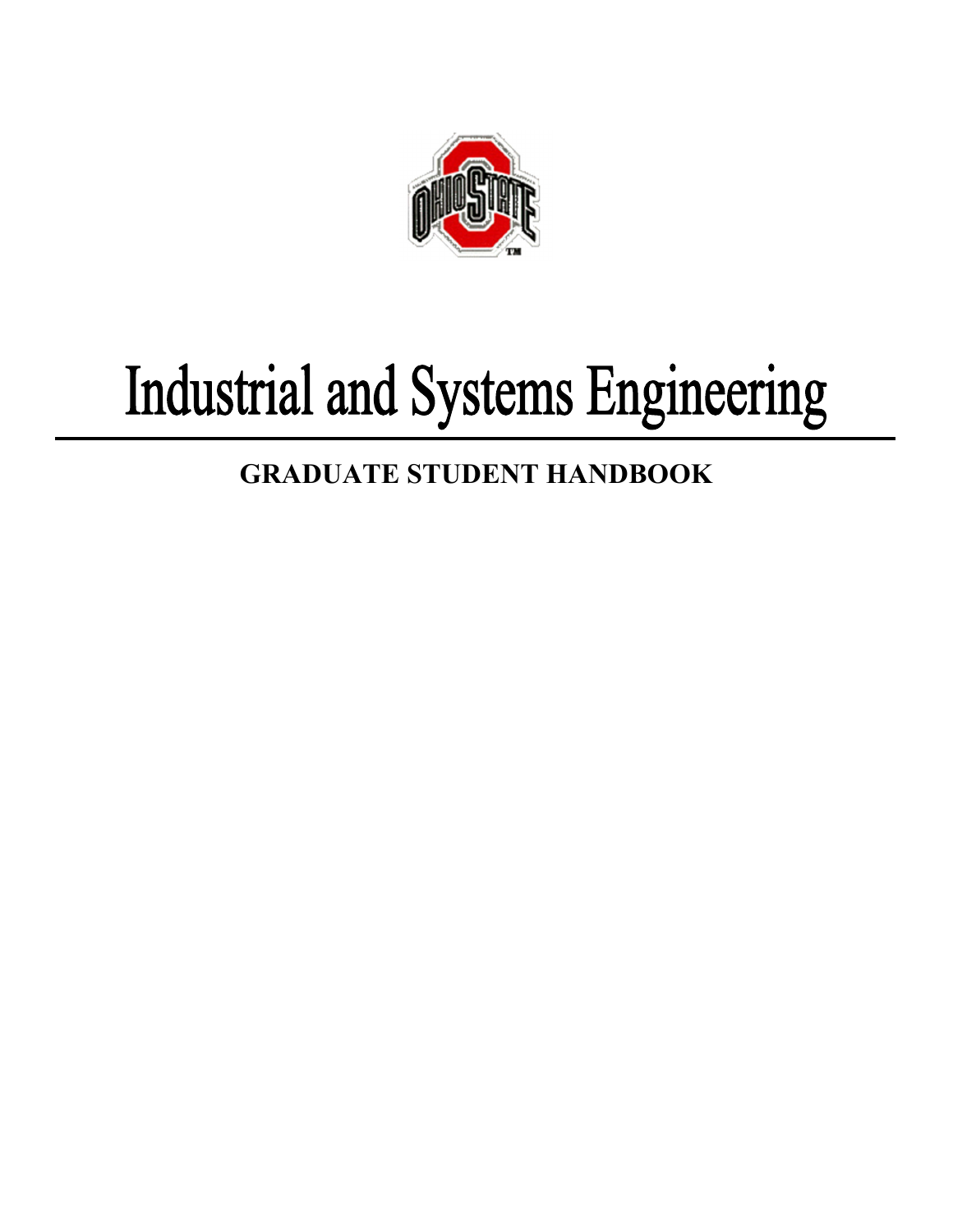

# Industrial and Systems Engineering

## **GRADUATE STUDENT HANDBOOK**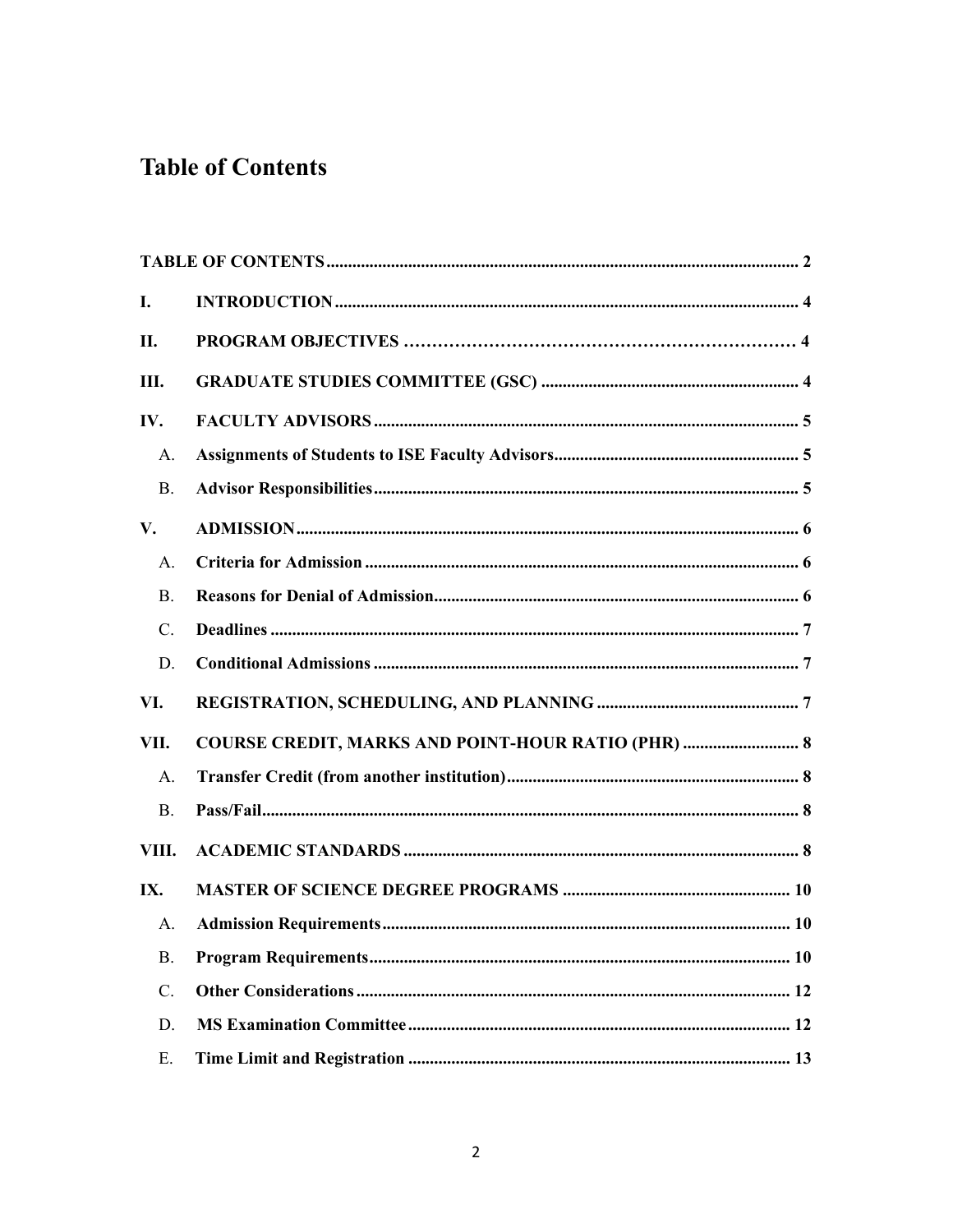### **Table of Contents**

| I.              |                                                           |
|-----------------|-----------------------------------------------------------|
| П.              |                                                           |
| Ш.              |                                                           |
| IV.             |                                                           |
| A.              |                                                           |
| <b>B.</b>       |                                                           |
| V.              |                                                           |
| $\mathsf{A}$ .  |                                                           |
| <b>B.</b>       |                                                           |
| $\mathcal{C}$ . |                                                           |
| D.              |                                                           |
| VI.             |                                                           |
| VII.            | <b>COURSE CREDIT, MARKS AND POINT-HOUR RATIO (PHR)  8</b> |
| A.              |                                                           |
| <b>B.</b>       |                                                           |
| VIII.           |                                                           |
| IX.             |                                                           |
| Α.              |                                                           |
| <b>B.</b>       |                                                           |
| C.              |                                                           |
| D.              |                                                           |
| Ε.              |                                                           |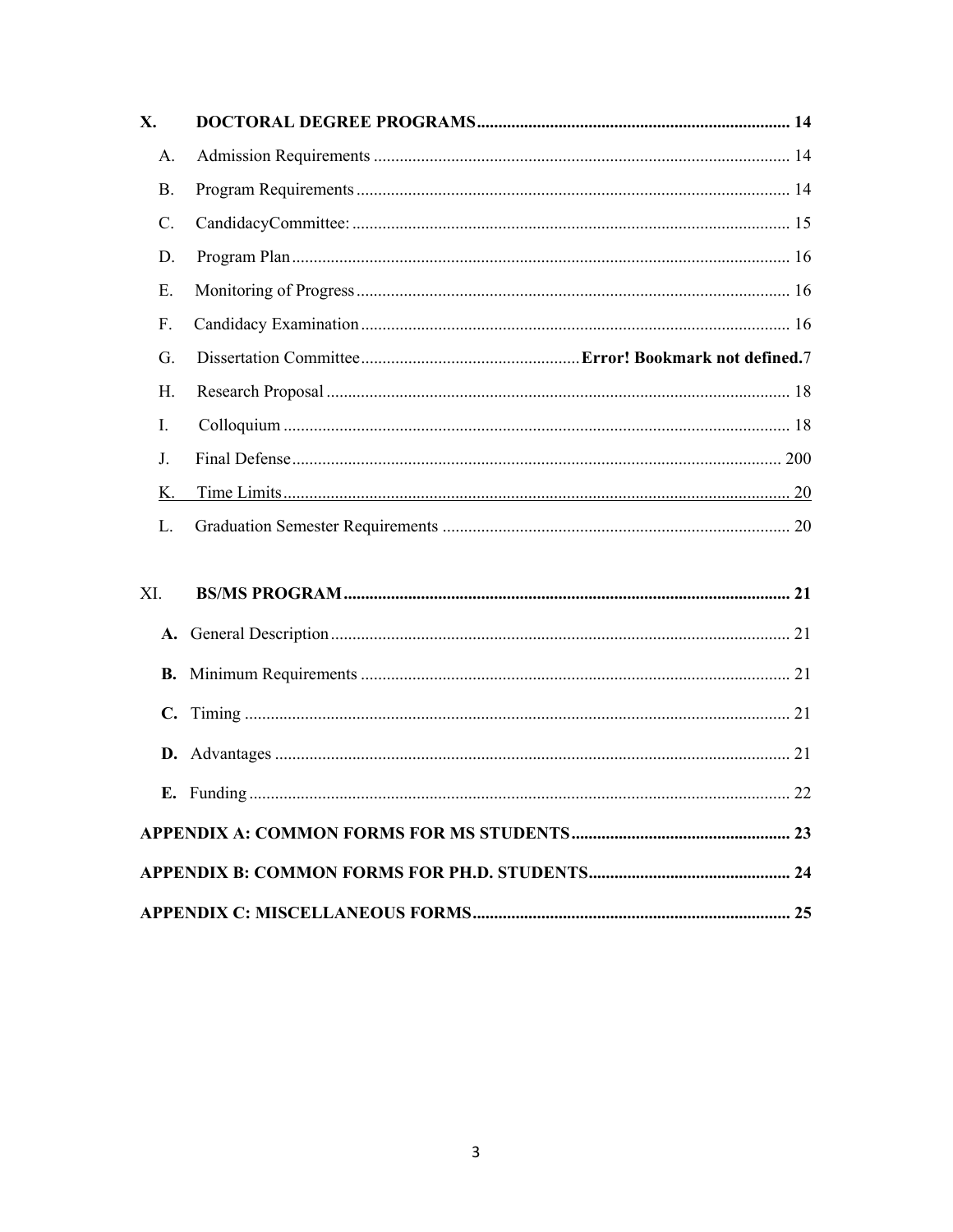| X.            |  |  |  |  |
|---------------|--|--|--|--|
| A.            |  |  |  |  |
| Β.            |  |  |  |  |
| C.            |  |  |  |  |
| D.            |  |  |  |  |
| Ε.            |  |  |  |  |
| F.            |  |  |  |  |
| G.            |  |  |  |  |
| Η.            |  |  |  |  |
| Ι.            |  |  |  |  |
| $J_{-}$       |  |  |  |  |
| К.            |  |  |  |  |
| L.            |  |  |  |  |
| XI.           |  |  |  |  |
|               |  |  |  |  |
| <b>B.</b>     |  |  |  |  |
| $C_{\bullet}$ |  |  |  |  |
|               |  |  |  |  |
|               |  |  |  |  |
|               |  |  |  |  |
|               |  |  |  |  |
|               |  |  |  |  |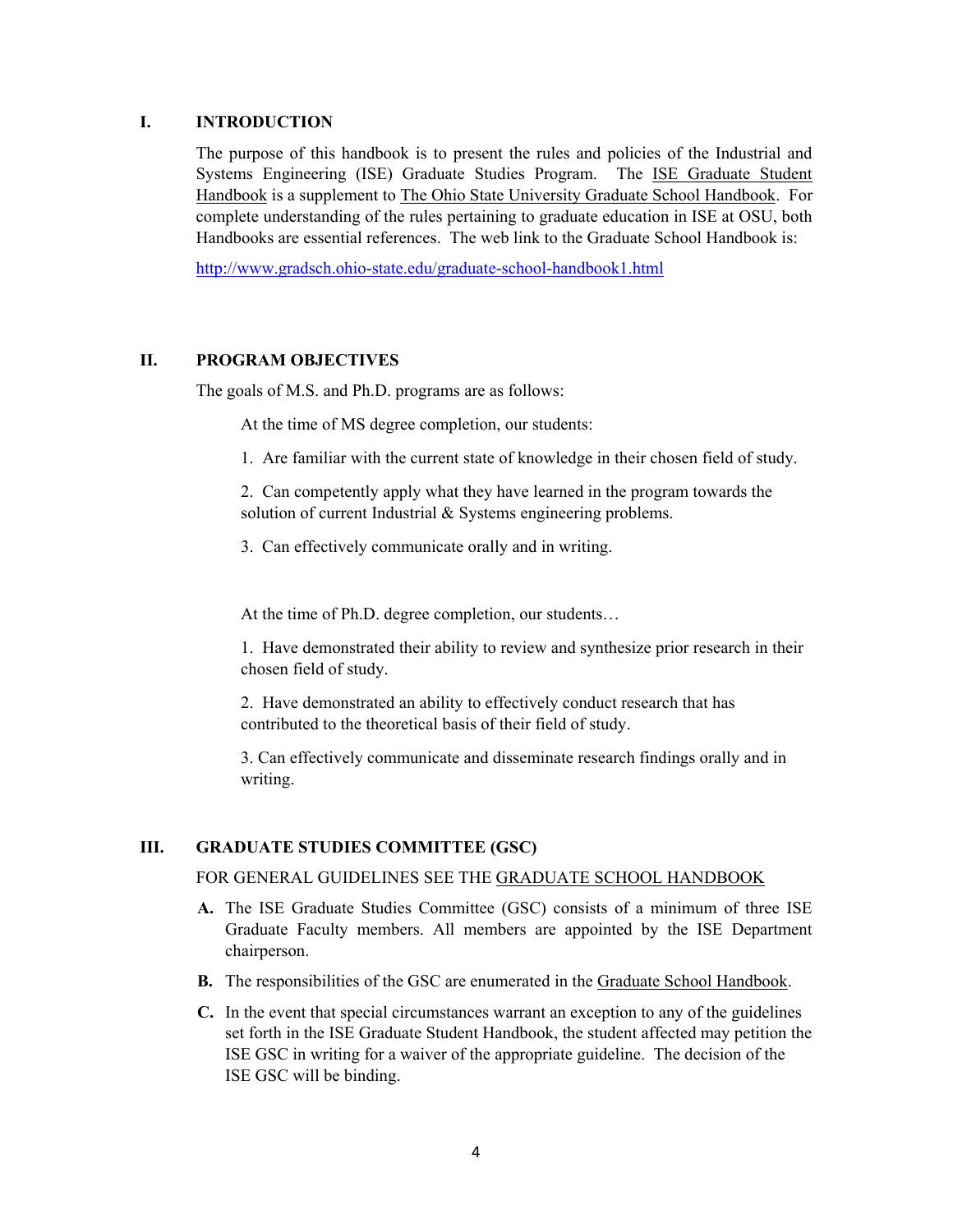#### **I. INTRODUCTION**

The purpose of this handbook is to present the rules and policies of the Industrial and Systems Engineering (ISE) Graduate Studies Program. The ISE Graduate Student Handbook is a supplement to The Ohio State University Graduate School Handbook. For complete understanding of the rules pertaining to graduate education in ISE at OSU, both Handbooks are essential references. The web link to the Graduate School Handbook is:

http://www.gradsch.ohio-state.edu/graduate-school-handbook1.html

#### **II. PROGRAM OBJECTIVES**

The goals of M.S. and Ph.D. programs are as follows:

At the time of MS degree completion, our students:

1. Are familiar with the current state of knowledge in their chosen field of study.

2. Can competently apply what they have learned in the program towards the solution of current Industrial & Systems engineering problems.

3. Can effectively communicate orally and in writing.

At the time of Ph.D. degree completion, our students…

1. Have demonstrated their ability to review and synthesize prior research in their chosen field of study.

2. Have demonstrated an ability to effectively conduct research that has contributed to the theoretical basis of their field of study.

3. Can effectively communicate and disseminate research findings orally and in writing.

#### **III. GRADUATE STUDIES COMMITTEE (GSC)**

#### FOR GENERAL GUIDELINES SEE THE GRADUATE SCHOOL HANDBOOK

- **A.** The ISE Graduate Studies Committee (GSC) consists of a minimum of three ISE Graduate Faculty members. All members are appointed by the ISE Department chairperson.
- **B.** The responsibilities of the GSC are enumerated in the Graduate School Handbook.
- **C.** In the event that special circumstances warrant an exception to any of the guidelines set forth in the ISE Graduate Student Handbook, the student affected may petition the ISE GSC in writing for a waiver of the appropriate guideline. The decision of the ISE GSC will be binding.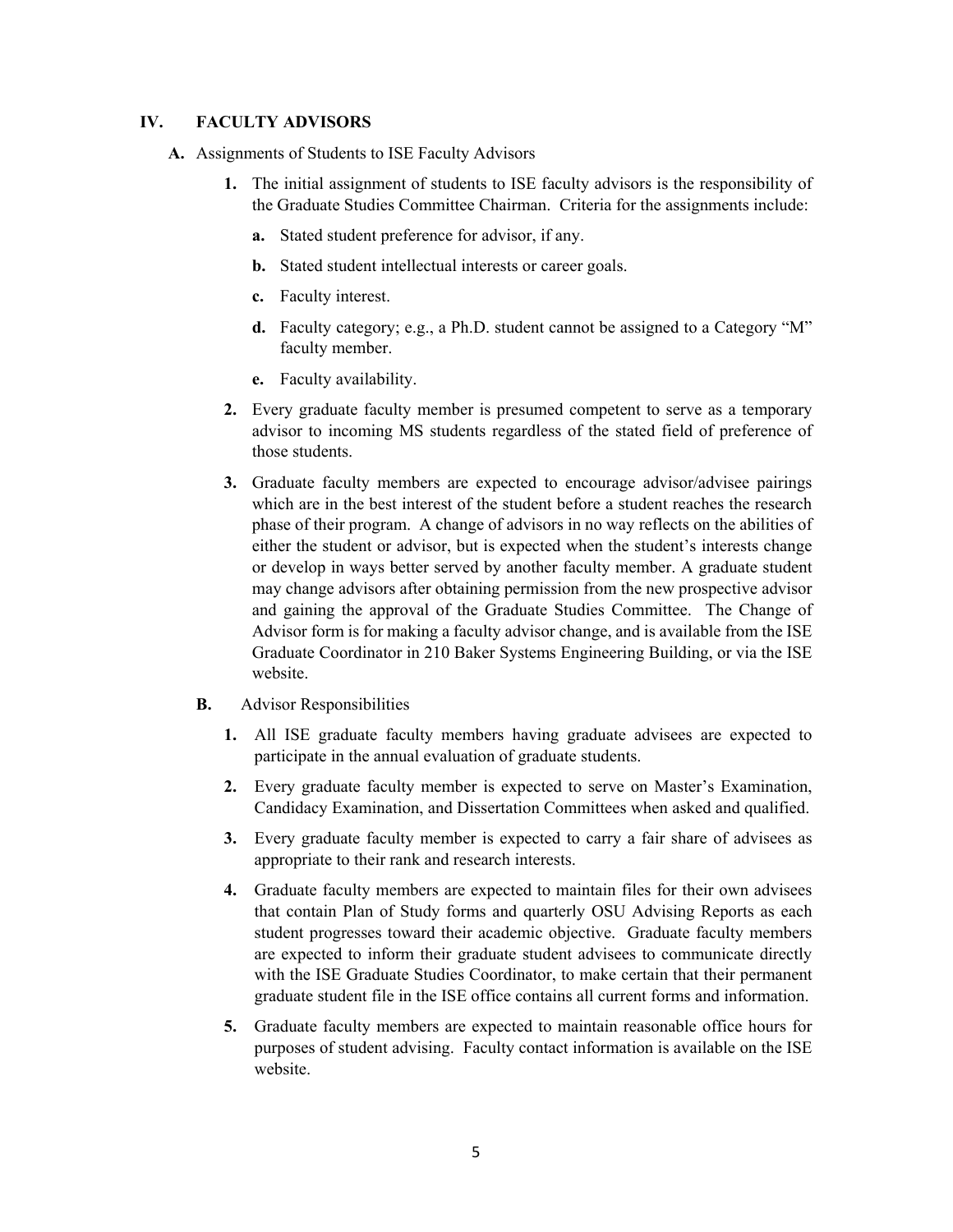#### **IV. FACULTY ADVISORS**

- **A.** Assignments of Students to ISE Faculty Advisors
	- **1.** The initial assignment of students to ISE faculty advisors is the responsibility of the Graduate Studies Committee Chairman. Criteria for the assignments include:
		- **a.** Stated student preference for advisor, if any.
		- **b.** Stated student intellectual interests or career goals.
		- **c.** Faculty interest.
		- **d.** Faculty category; e.g., a Ph.D. student cannot be assigned to a Category "M" faculty member.
		- **e.** Faculty availability.
	- **2.** Every graduate faculty member is presumed competent to serve as a temporary advisor to incoming MS students regardless of the stated field of preference of those students.
	- **3.** Graduate faculty members are expected to encourage advisor/advisee pairings which are in the best interest of the student before a student reaches the research phase of their program. A change of advisors in no way reflects on the abilities of either the student or advisor, but is expected when the student's interests change or develop in ways better served by another faculty member. A graduate student may change advisors after obtaining permission from the new prospective advisor and gaining the approval of the Graduate Studies Committee. The Change of Advisor form is for making a faculty advisor change, and is available from the ISE Graduate Coordinator in 210 Baker Systems Engineering Building, or via the ISE website.
	- **B.** Advisor Responsibilities
		- **1.** All ISE graduate faculty members having graduate advisees are expected to participate in the annual evaluation of graduate students.
		- **2.** Every graduate faculty member is expected to serve on Master's Examination, Candidacy Examination, and Dissertation Committees when asked and qualified.
		- **3.** Every graduate faculty member is expected to carry a fair share of advisees as appropriate to their rank and research interests.
		- **4.** Graduate faculty members are expected to maintain files for their own advisees that contain Plan of Study forms and quarterly OSU Advising Reports as each student progresses toward their academic objective. Graduate faculty members are expected to inform their graduate student advisees to communicate directly with the ISE Graduate Studies Coordinator, to make certain that their permanent graduate student file in the ISE office contains all current forms and information.
		- **5.** Graduate faculty members are expected to maintain reasonable office hours for purposes of student advising. Faculty contact information is available on the ISE website.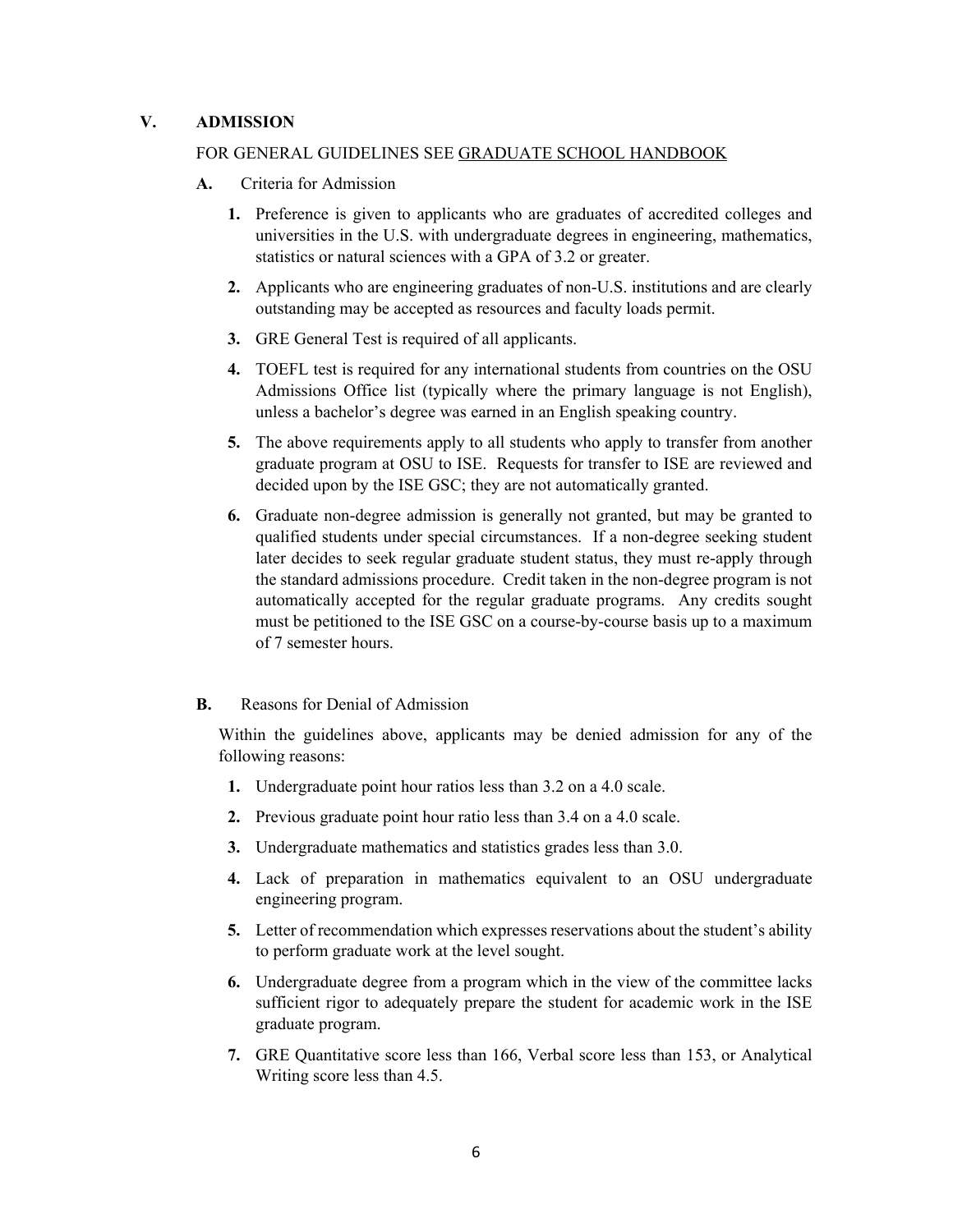#### **V. ADMISSION**

#### FOR GENERAL GUIDELINES SEE GRADUATE SCHOOL HANDBOOK

- **A.** Criteria for Admission
	- **1.** Preference is given to applicants who are graduates of accredited colleges and universities in the U.S. with undergraduate degrees in engineering, mathematics, statistics or natural sciences with a GPA of 3.2 or greater.
	- **2.** Applicants who are engineering graduates of non-U.S. institutions and are clearly outstanding may be accepted as resources and faculty loads permit.
	- **3.** GRE General Test is required of all applicants.
	- **4.** TOEFL test is required for any international students from countries on the OSU Admissions Office list (typically where the primary language is not English), unless a bachelor's degree was earned in an English speaking country.
	- **5.** The above requirements apply to all students who apply to transfer from another graduate program at OSU to ISE. Requests for transfer to ISE are reviewed and decided upon by the ISE GSC; they are not automatically granted.
	- **6.** Graduate non-degree admission is generally not granted, but may be granted to qualified students under special circumstances. If a non-degree seeking student later decides to seek regular graduate student status, they must re-apply through the standard admissions procedure. Credit taken in the non-degree program is not automatically accepted for the regular graduate programs. Any credits sought must be petitioned to the ISE GSC on a course-by-course basis up to a maximum of 7 semester hours.
- **B.** Reasons for Denial of Admission

Within the guidelines above, applicants may be denied admission for any of the following reasons:

- **1.** Undergraduate point hour ratios less than 3.2 on a 4.0 scale.
- **2.** Previous graduate point hour ratio less than 3.4 on a 4.0 scale.
- **3.** Undergraduate mathematics and statistics grades less than 3.0.
- **4.** Lack of preparation in mathematics equivalent to an OSU undergraduate engineering program.
- **5.** Letter of recommendation which expresses reservations about the student's ability to perform graduate work at the level sought.
- **6.** Undergraduate degree from a program which in the view of the committee lacks sufficient rigor to adequately prepare the student for academic work in the ISE graduate program.
- **7.** GRE Quantitative score less than 166, Verbal score less than 153, or Analytical Writing score less than 4.5.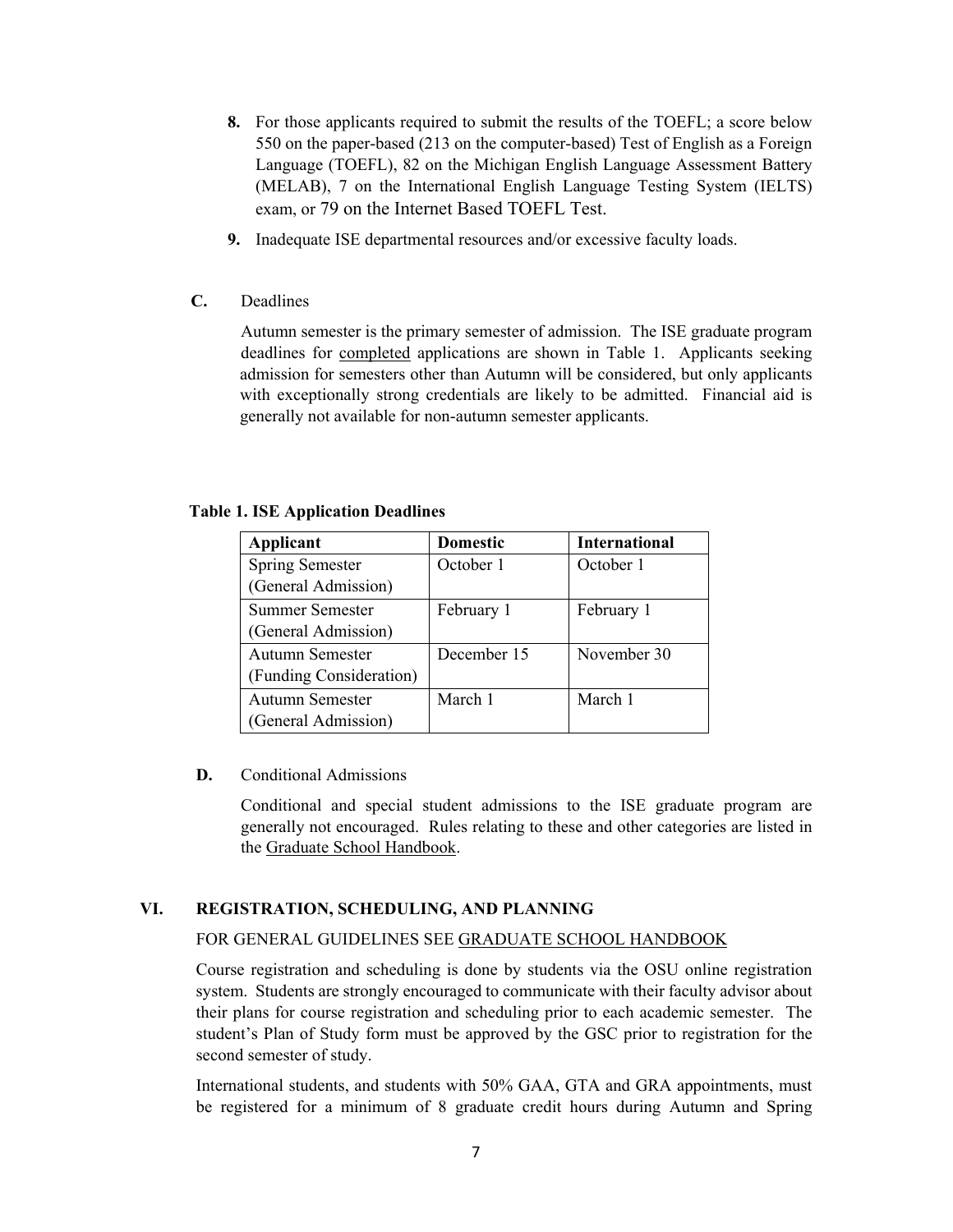- **8.** For those applicants required to submit the results of the TOEFL; a score below 550 on the paper-based (213 on the computer-based) Test of English as a Foreign Language (TOEFL), 82 on the Michigan English Language Assessment Battery (MELAB), 7 on the International English Language Testing System (IELTS) exam, or 79 on the Internet Based TOEFL Test.
- **9.** Inadequate ISE departmental resources and/or excessive faculty loads.
- **C.** Deadlines

 Autumn semester is the primary semester of admission. The ISE graduate program deadlines for completed applications are shown in Table 1. Applicants seeking admission for semesters other than Autumn will be considered, but only applicants with exceptionally strong credentials are likely to be admitted. Financial aid is generally not available for non-autumn semester applicants.

#### **Table 1. ISE Application Deadlines**

| Applicant               | <b>Domestic</b> | <b>International</b> |
|-------------------------|-----------------|----------------------|
| <b>Spring Semester</b>  | October 1       | October 1            |
| (General Admission)     |                 |                      |
| Summer Semester         | February 1      | February 1           |
| (General Admission)     |                 |                      |
| Autumn Semester         | December 15     | November 30          |
| (Funding Consideration) |                 |                      |
| Autumn Semester         | March 1         | March 1              |
| (General Admission)     |                 |                      |

#### **D.** Conditional Admissions

Conditional and special student admissions to the ISE graduate program are generally not encouraged. Rules relating to these and other categories are listed in the Graduate School Handbook.

#### **VI. REGISTRATION, SCHEDULING, AND PLANNING**

#### FOR GENERAL GUIDELINES SEE GRADUATE SCHOOL HANDBOOK

Course registration and scheduling is done by students via the OSU online registration system. Students are strongly encouraged to communicate with their faculty advisor about their plans for course registration and scheduling prior to each academic semester. The student's Plan of Study form must be approved by the GSC prior to registration for the second semester of study.

International students, and students with 50% GAA, GTA and GRA appointments, must be registered for a minimum of 8 graduate credit hours during Autumn and Spring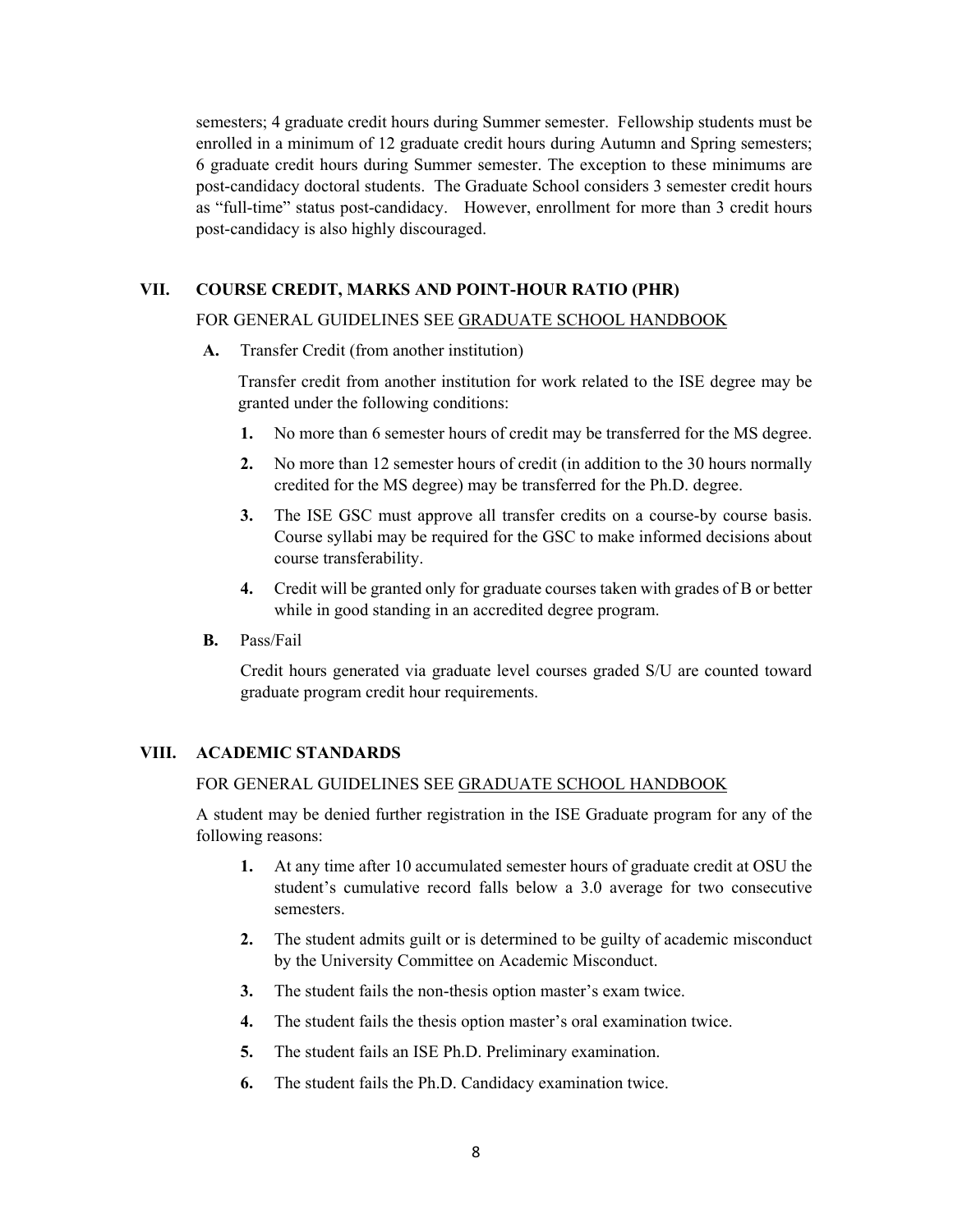semesters; 4 graduate credit hours during Summer semester. Fellowship students must be enrolled in a minimum of 12 graduate credit hours during Autumn and Spring semesters; 6 graduate credit hours during Summer semester. The exception to these minimums are post-candidacy doctoral students. The Graduate School considers 3 semester credit hours as "full-time" status post-candidacy. However, enrollment for more than 3 credit hours post-candidacy is also highly discouraged.

#### **VII. COURSE CREDIT, MARKS AND POINT-HOUR RATIO (PHR)**

#### FOR GENERAL GUIDELINES SEE GRADUATE SCHOOL HANDBOOK

**A.** Transfer Credit (from another institution)

 Transfer credit from another institution for work related to the ISE degree may be granted under the following conditions:

- **1.** No more than 6 semester hours of credit may be transferred for the MS degree.
- **2.** No more than 12 semester hours of credit (in addition to the 30 hours normally credited for the MS degree) may be transferred for the Ph.D. degree.
- **3.** The ISE GSC must approve all transfer credits on a course-by course basis. Course syllabi may be required for the GSC to make informed decisions about course transferability.
- **4.** Credit will be granted only for graduate courses taken with grades of B or better while in good standing in an accredited degree program.
- **B.** Pass/Fail

Credit hours generated via graduate level courses graded S/U are counted toward graduate program credit hour requirements.

#### **VIII. ACADEMIC STANDARDS**

#### FOR GENERAL GUIDELINES SEE GRADUATE SCHOOL HANDBOOK

A student may be denied further registration in the ISE Graduate program for any of the following reasons:

- **1.** At any time after 10 accumulated semester hours of graduate credit at OSU the student's cumulative record falls below a 3.0 average for two consecutive semesters.
- **2.** The student admits guilt or is determined to be guilty of academic misconduct by the University Committee on Academic Misconduct.
- **3.** The student fails the non-thesis option master's exam twice.
- **4.** The student fails the thesis option master's oral examination twice.
- **5.** The student fails an ISE Ph.D. Preliminary examination.
- **6.** The student fails the Ph.D. Candidacy examination twice.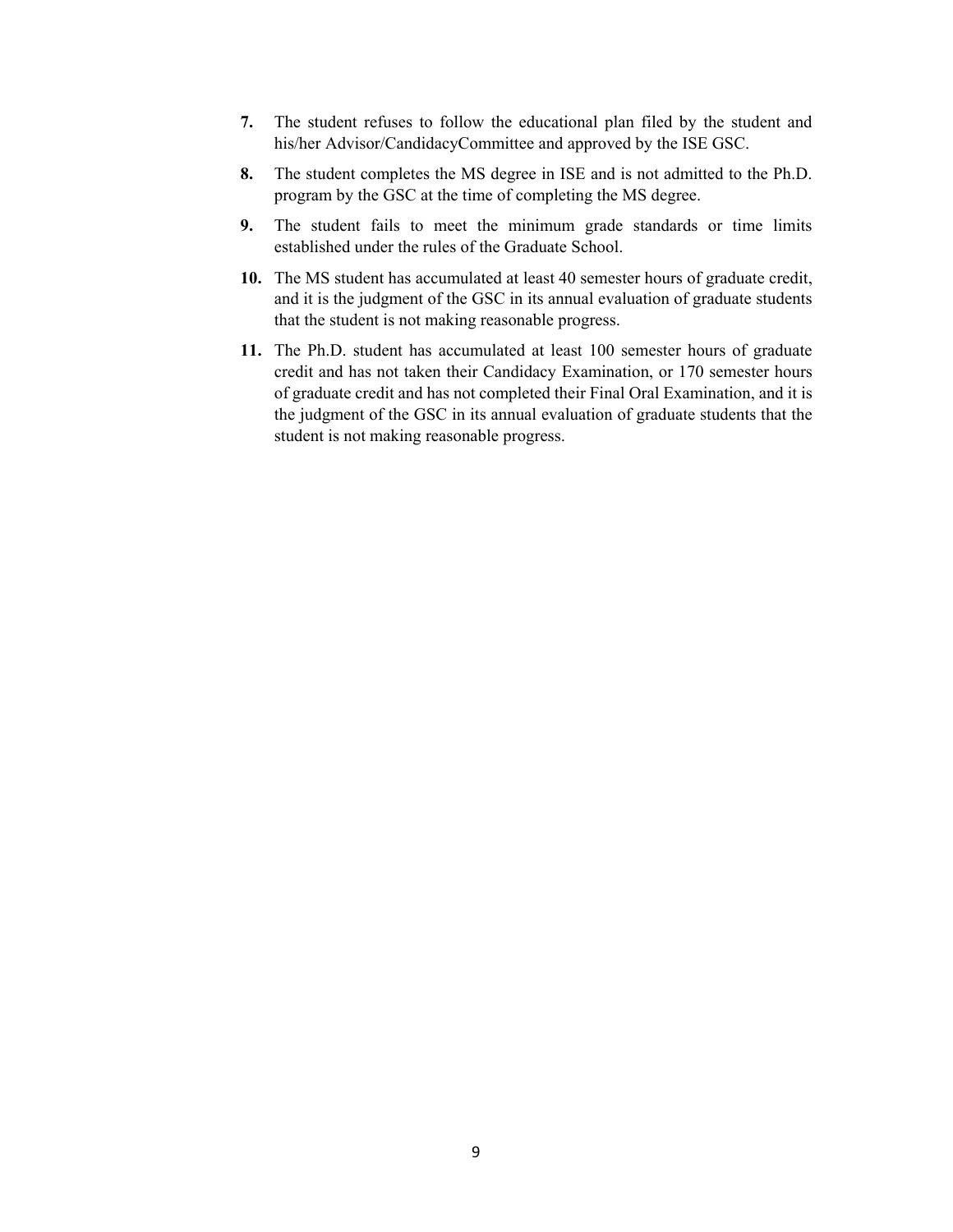- **7.** The student refuses to follow the educational plan filed by the student and his/her Advisor/CandidacyCommittee and approved by the ISE GSC.
- **8.** The student completes the MS degree in ISE and is not admitted to the Ph.D. program by the GSC at the time of completing the MS degree.
- **9.** The student fails to meet the minimum grade standards or time limits established under the rules of the Graduate School.
- **10.** The MS student has accumulated at least 40 semester hours of graduate credit, and it is the judgment of the GSC in its annual evaluation of graduate students that the student is not making reasonable progress.
- **11.** The Ph.D. student has accumulated at least 100 semester hours of graduate credit and has not taken their Candidacy Examination, or 170 semester hours of graduate credit and has not completed their Final Oral Examination, and it is the judgment of the GSC in its annual evaluation of graduate students that the student is not making reasonable progress.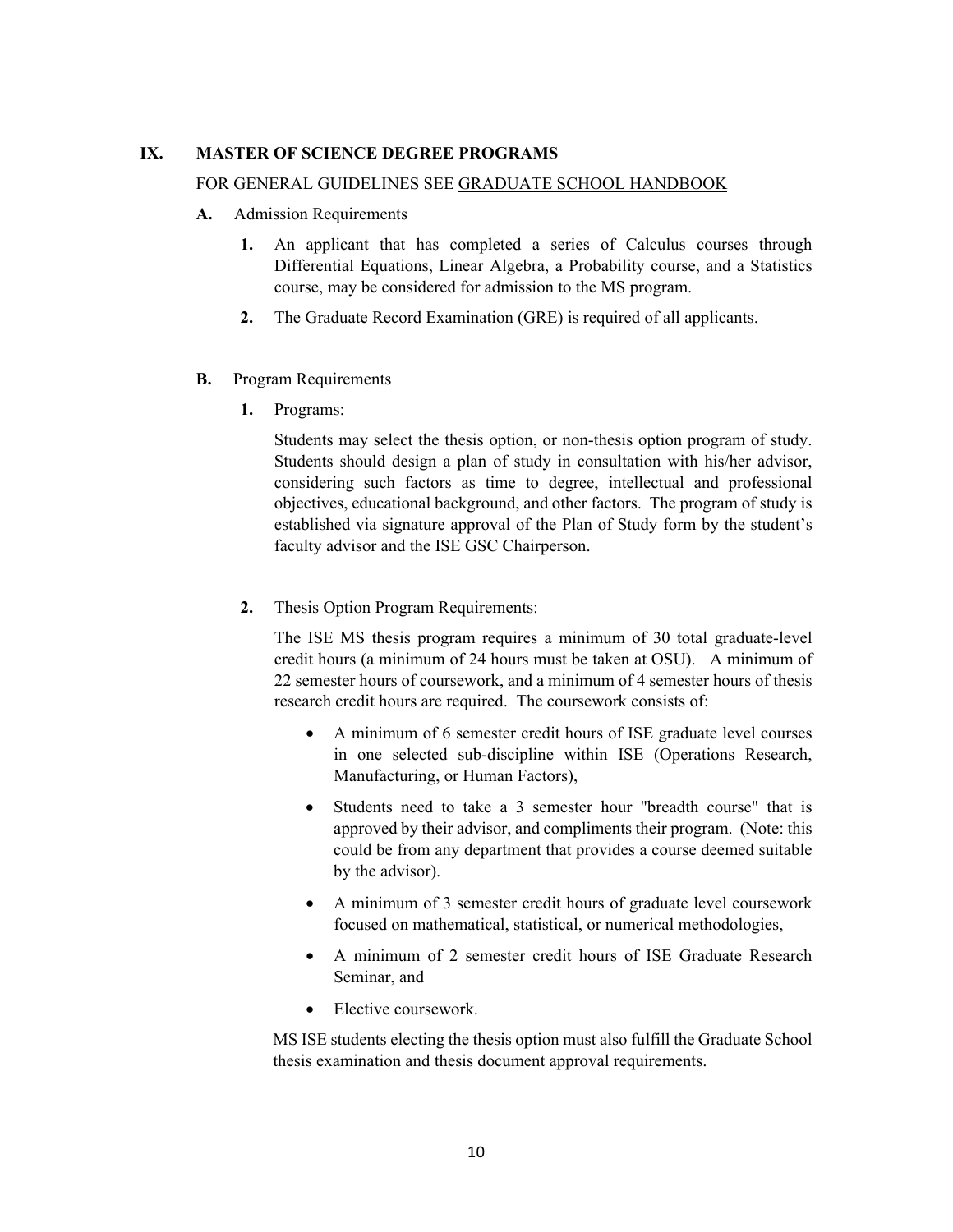#### **IX. MASTER OF SCIENCE DEGREE PROGRAMS**

#### FOR GENERAL GUIDELINES SEE GRADUATE SCHOOL HANDBOOK

- **A.** Admission Requirements
	- **1.** An applicant that has completed a series of Calculus courses through Differential Equations, Linear Algebra, a Probability course, and a Statistics course, may be considered for admission to the MS program.
	- **2.** The Graduate Record Examination (GRE) is required of all applicants.
- **B.** Program Requirements
	- **1.** Programs:

Students may select the thesis option, or non-thesis option program of study. Students should design a plan of study in consultation with his/her advisor, considering such factors as time to degree, intellectual and professional objectives, educational background, and other factors. The program of study is established via signature approval of the Plan of Study form by the student's faculty advisor and the ISE GSC Chairperson.

**2.** Thesis Option Program Requirements:

The ISE MS thesis program requires a minimum of 30 total graduate-level credit hours (a minimum of 24 hours must be taken at OSU). A minimum of 22 semester hours of coursework, and a minimum of 4 semester hours of thesis research credit hours are required. The coursework consists of:

- A minimum of 6 semester credit hours of ISE graduate level courses in one selected sub-discipline within ISE (Operations Research, Manufacturing, or Human Factors),
- Students need to take a 3 semester hour "breadth course" that is approved by their advisor, and compliments their program. (Note: this could be from any department that provides a course deemed suitable by the advisor).
- A minimum of 3 semester credit hours of graduate level coursework focused on mathematical, statistical, or numerical methodologies,
- A minimum of 2 semester credit hours of ISE Graduate Research Seminar, and
- Elective coursework.

MS ISE students electing the thesis option must also fulfill the Graduate School thesis examination and thesis document approval requirements.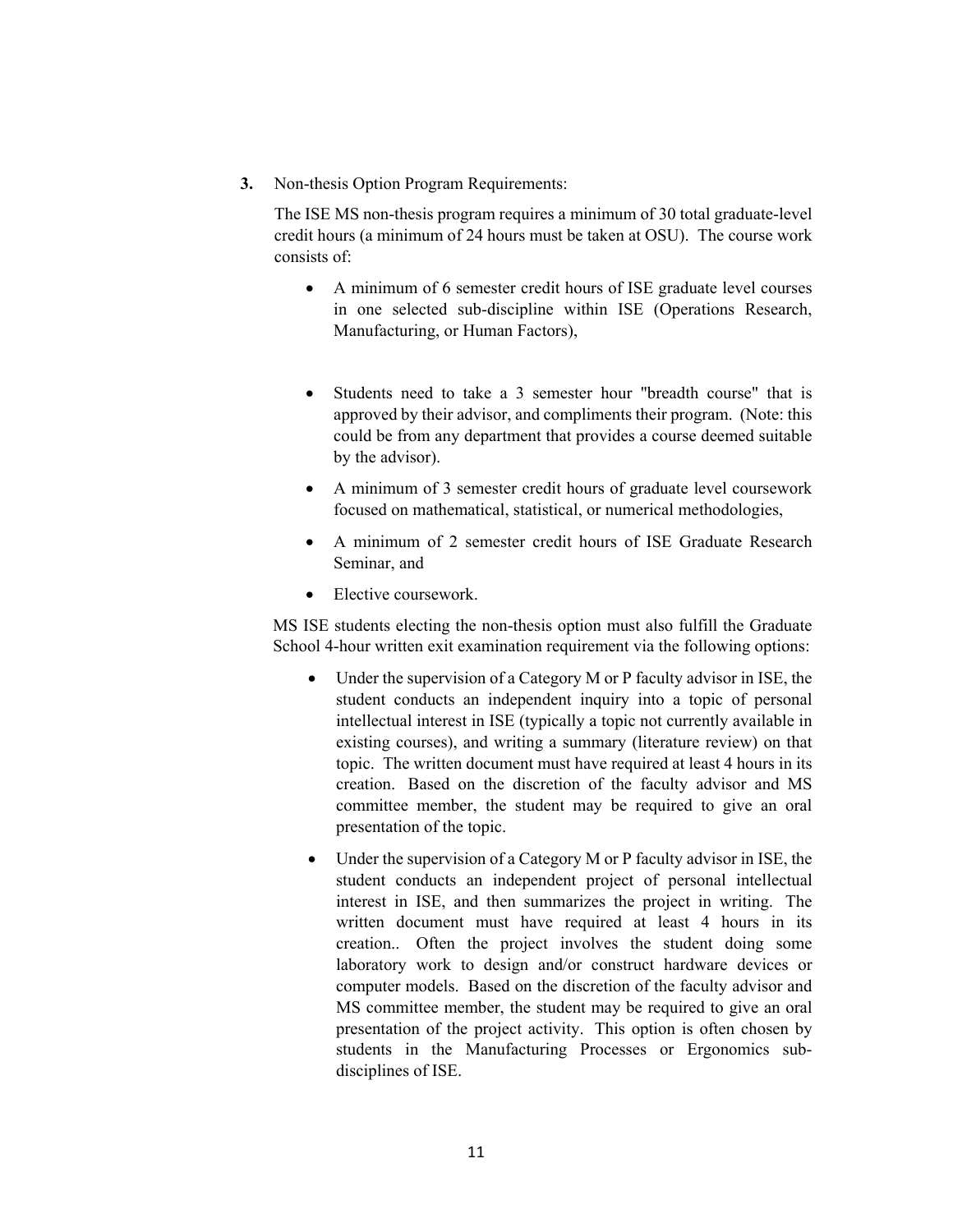**3.** Non-thesis Option Program Requirements:

The ISE MS non-thesis program requires a minimum of 30 total graduate-level credit hours (a minimum of 24 hours must be taken at OSU). The course work consists of:

- A minimum of 6 semester credit hours of ISE graduate level courses in one selected sub-discipline within ISE (Operations Research, Manufacturing, or Human Factors),
- Students need to take a 3 semester hour "breadth course" that is approved by their advisor, and compliments their program. (Note: this could be from any department that provides a course deemed suitable by the advisor).
- A minimum of 3 semester credit hours of graduate level coursework focused on mathematical, statistical, or numerical methodologies,
- A minimum of 2 semester credit hours of ISE Graduate Research Seminar, and
- Elective coursework.

MS ISE students electing the non-thesis option must also fulfill the Graduate School 4-hour written exit examination requirement via the following options:

- Under the supervision of a Category M or P faculty advisor in ISE, the student conducts an independent inquiry into a topic of personal intellectual interest in ISE (typically a topic not currently available in existing courses), and writing a summary (literature review) on that topic. The written document must have required at least 4 hours in its creation. Based on the discretion of the faculty advisor and MS committee member, the student may be required to give an oral presentation of the topic.
- Under the supervision of a Category M or P faculty advisor in ISE, the student conducts an independent project of personal intellectual interest in ISE, and then summarizes the project in writing. The written document must have required at least 4 hours in its creation.. Often the project involves the student doing some laboratory work to design and/or construct hardware devices or computer models. Based on the discretion of the faculty advisor and MS committee member, the student may be required to give an oral presentation of the project activity. This option is often chosen by students in the Manufacturing Processes or Ergonomics subdisciplines of ISE.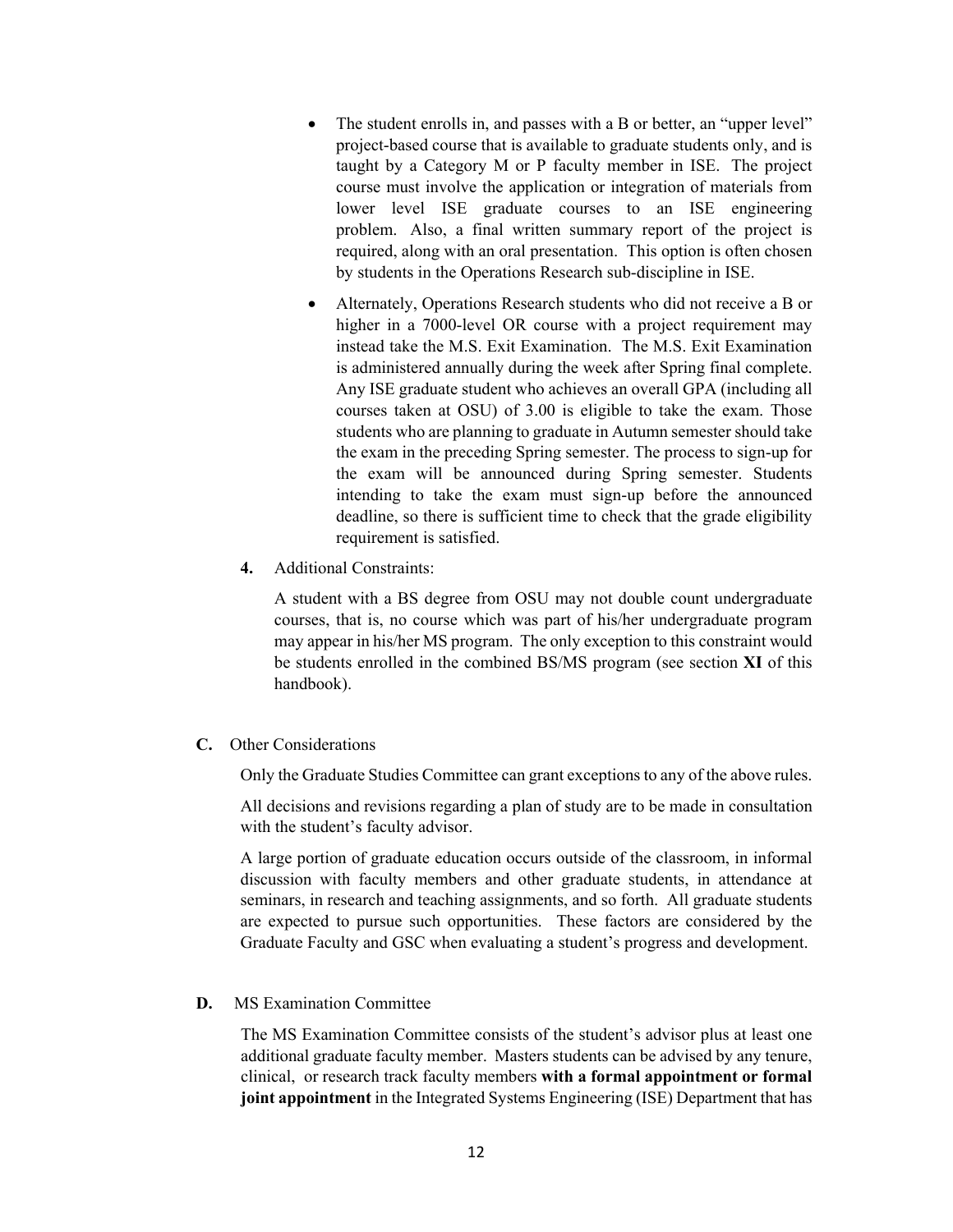- The student enrolls in, and passes with a B or better, an "upper level" project-based course that is available to graduate students only, and is taught by a Category M or P faculty member in ISE. The project course must involve the application or integration of materials from lower level ISE graduate courses to an ISE engineering problem. Also, a final written summary report of the project is required, along with an oral presentation. This option is often chosen by students in the Operations Research sub-discipline in ISE.
- Alternately, Operations Research students who did not receive a B or higher in a 7000-level OR course with a project requirement may instead take the M.S. Exit Examination. The M.S. Exit Examination is administered annually during the week after Spring final complete. Any ISE graduate student who achieves an overall GPA (including all courses taken at OSU) of 3.00 is eligible to take the exam. Those students who are planning to graduate in Autumn semester should take the exam in the preceding Spring semester. The process to sign-up for the exam will be announced during Spring semester. Students intending to take the exam must sign-up before the announced deadline, so there is sufficient time to check that the grade eligibility requirement is satisfied.
- **4.** Additional Constraints:

A student with a BS degree from OSU may not double count undergraduate courses, that is, no course which was part of his/her undergraduate program may appear in his/her MS program. The only exception to this constraint would be students enrolled in the combined BS/MS program (see section **XI** of this handbook).

**C.** Other Considerations

Only the Graduate Studies Committee can grant exceptions to any of the above rules.

All decisions and revisions regarding a plan of study are to be made in consultation with the student's faculty advisor.

A large portion of graduate education occurs outside of the classroom, in informal discussion with faculty members and other graduate students, in attendance at seminars, in research and teaching assignments, and so forth. All graduate students are expected to pursue such opportunities. These factors are considered by the Graduate Faculty and GSC when evaluating a student's progress and development.

**D.** MS Examination Committee

The MS Examination Committee consists of the student's advisor plus at least one additional graduate faculty member. Masters students can be advised by any tenure, clinical, or research track faculty members **with a formal appointment or formal joint appointment** in the Integrated Systems Engineering (ISE) Department that has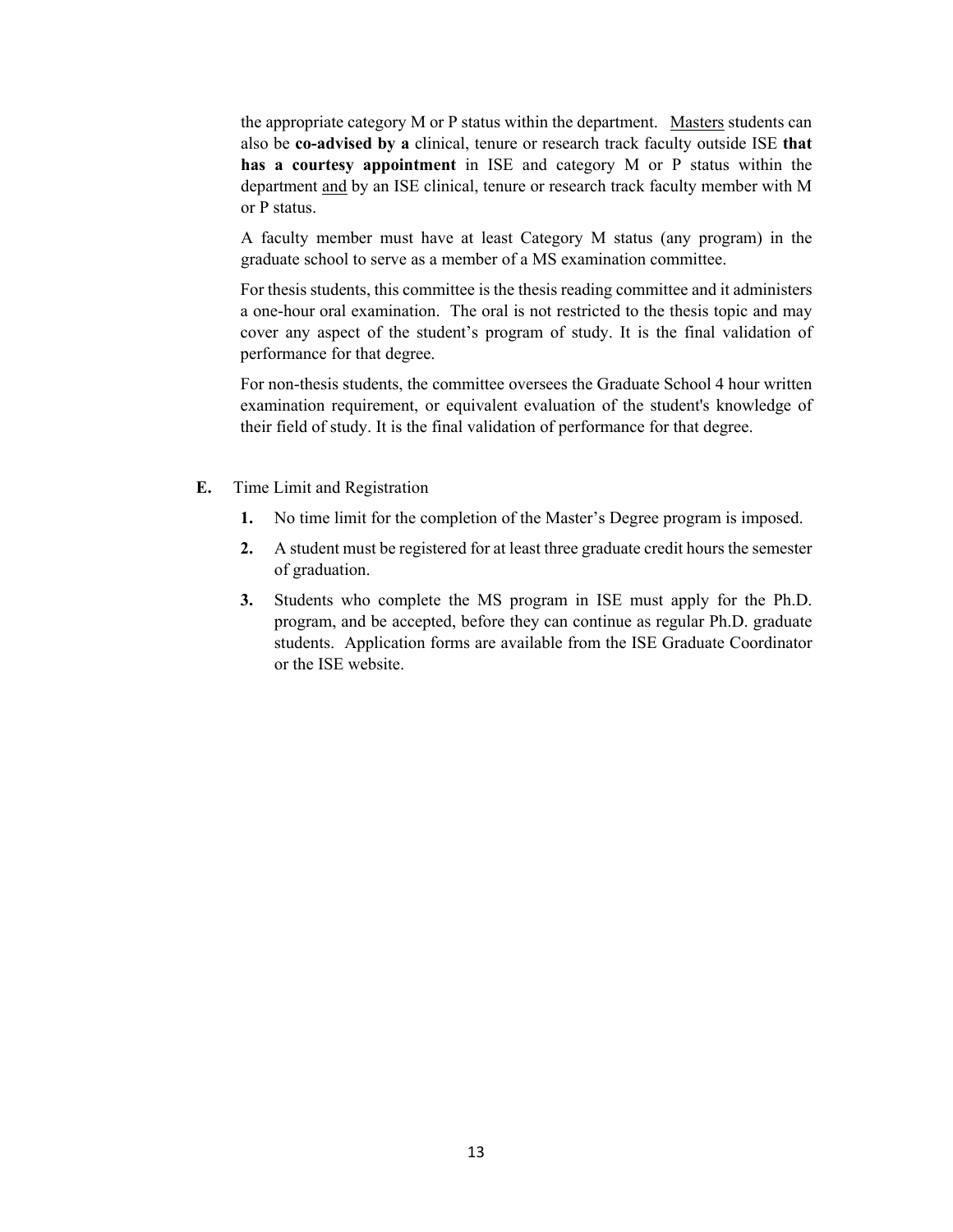the appropriate category M or P status within the department. Masters students can also be **co-advised by a** clinical, tenure or research track faculty outside ISE **that has a courtesy appointment** in ISE and category M or P status within the department and by an ISE clinical, tenure or research track faculty member with M or P status.

A faculty member must have at least Category M status (any program) in the graduate school to serve as a member of a MS examination committee.

For thesis students, this committee is the thesis reading committee and it administers a one-hour oral examination. The oral is not restricted to the thesis topic and may cover any aspect of the student's program of study. It is the final validation of performance for that degree.

For non-thesis students, the committee oversees the Graduate School 4 hour written examination requirement, or equivalent evaluation of the student's knowledge of their field of study. It is the final validation of performance for that degree.

- **E.** Time Limit and Registration
	- **1.** No time limit for the completion of the Master's Degree program is imposed.
	- **2.** A student must be registered for at least three graduate credit hours the semester of graduation.
	- **3.** Students who complete the MS program in ISE must apply for the Ph.D. program, and be accepted, before they can continue as regular Ph.D. graduate students. Application forms are available from the ISE Graduate Coordinator or the ISE website.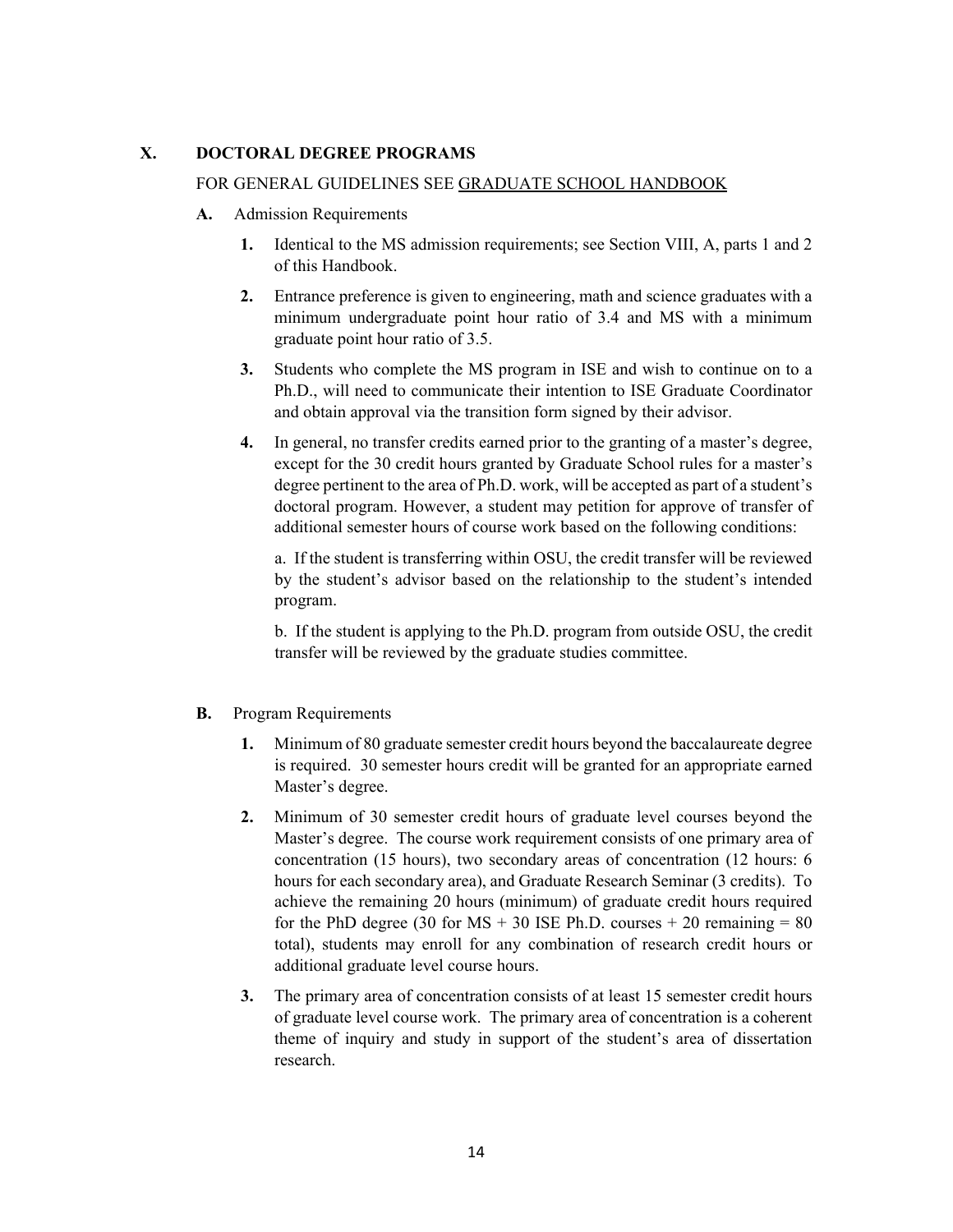#### **X. DOCTORAL DEGREE PROGRAMS**

#### FOR GENERAL GUIDELINES SEE GRADUATE SCHOOL HANDBOOK

- **A.** Admission Requirements
	- **1.** Identical to the MS admission requirements; see Section VIII, A, parts 1 and 2 of this Handbook.
	- **2.** Entrance preference is given to engineering, math and science graduates with a minimum undergraduate point hour ratio of 3.4 and MS with a minimum graduate point hour ratio of 3.5.
	- **3.** Students who complete the MS program in ISE and wish to continue on to a Ph.D., will need to communicate their intention to ISE Graduate Coordinator and obtain approval via the transition form signed by their advisor.
	- **4.** In general, no transfer credits earned prior to the granting of a master's degree, except for the 30 credit hours granted by Graduate School rules for a master's degree pertinent to the area of Ph.D. work, will be accepted as part of a student's doctoral program. However, a student may petition for approve of transfer of additional semester hours of course work based on the following conditions:

a. If the student is transferring within OSU, the credit transfer will be reviewed by the student's advisor based on the relationship to the student's intended program.

b. If the student is applying to the Ph.D. program from outside OSU, the credit transfer will be reviewed by the graduate studies committee.

- **B.** Program Requirements
	- **1.** Minimum of 80 graduate semester credit hours beyond the baccalaureate degree is required. 30 semester hours credit will be granted for an appropriate earned Master's degree.
	- **2.** Minimum of 30 semester credit hours of graduate level courses beyond the Master's degree. The course work requirement consists of one primary area of concentration (15 hours), two secondary areas of concentration (12 hours: 6 hours for each secondary area), and Graduate Research Seminar (3 credits). To achieve the remaining 20 hours (minimum) of graduate credit hours required for the PhD degree (30 for  $MS + 30$  ISE Ph.D. courses  $+ 20$  remaining  $= 80$ total), students may enroll for any combination of research credit hours or additional graduate level course hours.
	- **3.** The primary area of concentration consists of at least 15 semester credit hours of graduate level course work. The primary area of concentration is a coherent theme of inquiry and study in support of the student's area of dissertation research.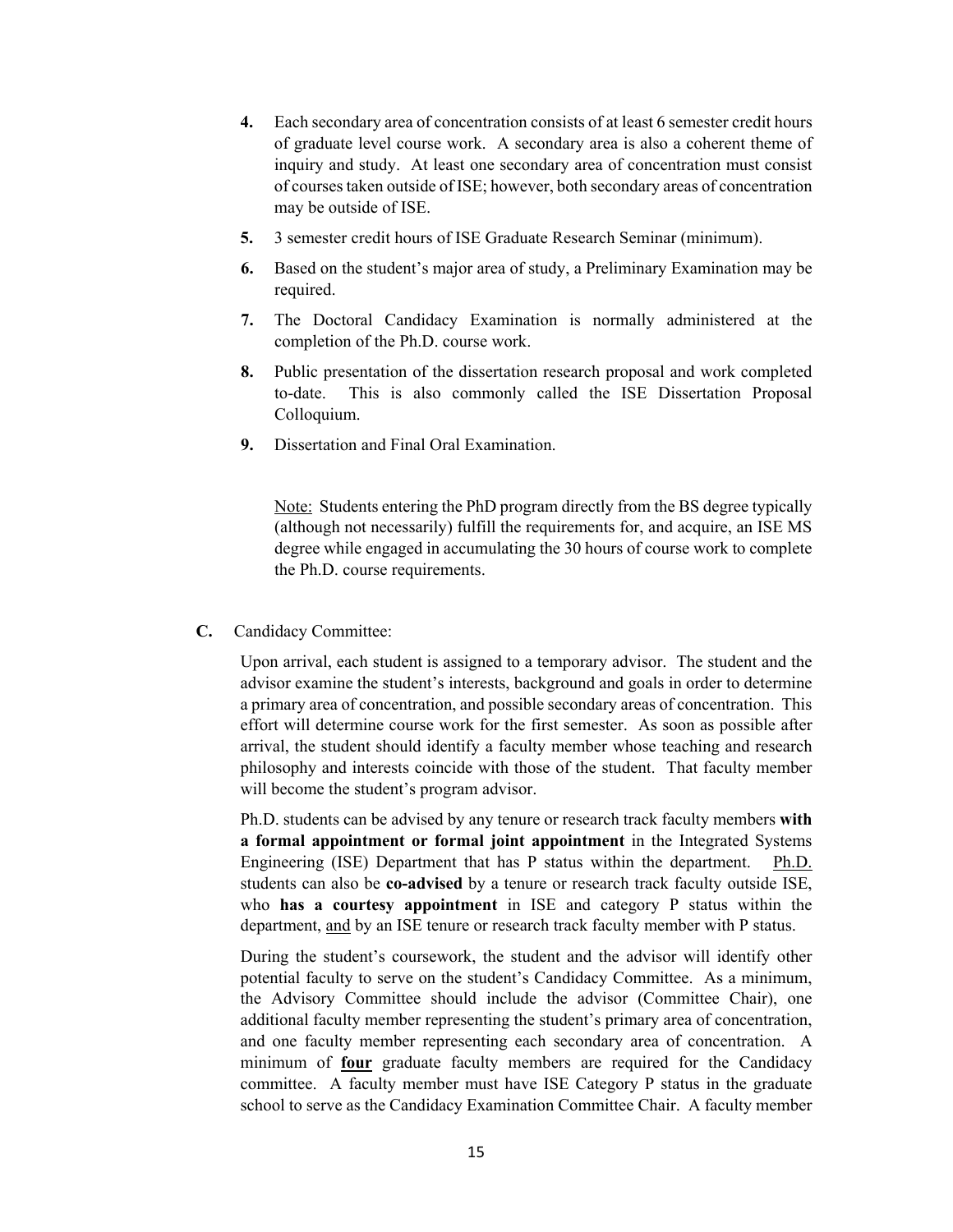- **4.** Each secondary area of concentration consists of at least 6 semester credit hours of graduate level course work. A secondary area is also a coherent theme of inquiry and study. At least one secondary area of concentration must consist of courses taken outside of ISE; however, both secondary areas of concentration may be outside of ISE.
- **5.** 3 semester credit hours of ISE Graduate Research Seminar (minimum).
- **6.** Based on the student's major area of study, a Preliminary Examination may be required.
- **7.** The Doctoral Candidacy Examination is normally administered at the completion of the Ph.D. course work.
- **8.** Public presentation of the dissertation research proposal and work completed to-date. This is also commonly called the ISE Dissertation Proposal Colloquium.
- **9.** Dissertation and Final Oral Examination.

Note: Students entering the PhD program directly from the BS degree typically (although not necessarily) fulfill the requirements for, and acquire, an ISE MS degree while engaged in accumulating the 30 hours of course work to complete the Ph.D. course requirements.

**C.** Candidacy Committee:

Upon arrival, each student is assigned to a temporary advisor. The student and the advisor examine the student's interests, background and goals in order to determine a primary area of concentration, and possible secondary areas of concentration. This effort will determine course work for the first semester. As soon as possible after arrival, the student should identify a faculty member whose teaching and research philosophy and interests coincide with those of the student. That faculty member will become the student's program advisor.

Ph.D. students can be advised by any tenure or research track faculty members **with a formal appointment or formal joint appointment** in the Integrated Systems Engineering (ISE) Department that has P status within the department. Ph.D. students can also be **co-advised** by a tenure or research track faculty outside ISE, who **has a courtesy appointment** in ISE and category P status within the department, and by an ISE tenure or research track faculty member with P status.

During the student's coursework, the student and the advisor will identify other potential faculty to serve on the student's Candidacy Committee. As a minimum, the Advisory Committee should include the advisor (Committee Chair), one additional faculty member representing the student's primary area of concentration, and one faculty member representing each secondary area of concentration. A minimum of **four** graduate faculty members are required for the Candidacy committee. A faculty member must have ISE Category P status in the graduate school to serve as the Candidacy Examination Committee Chair. A faculty member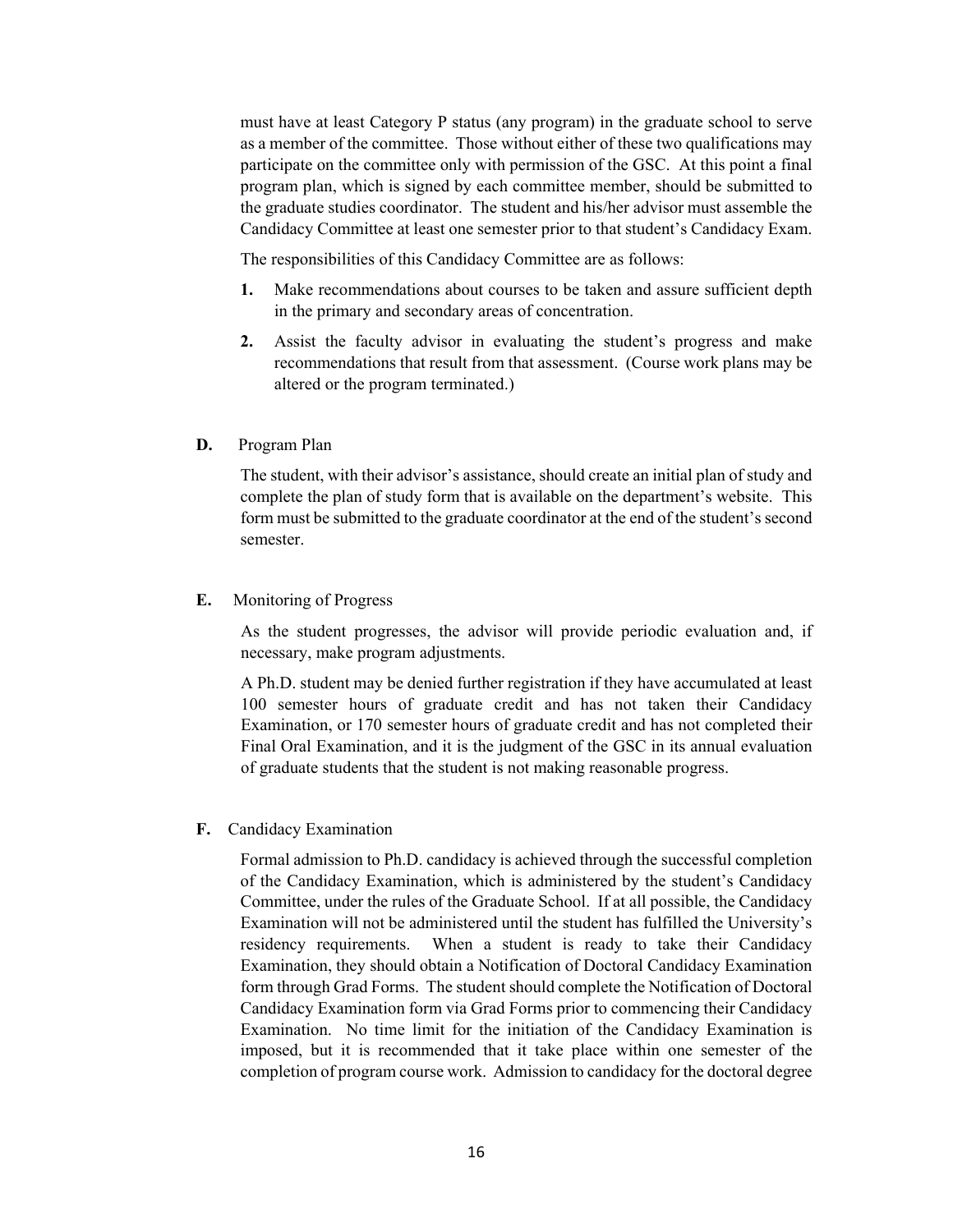must have at least Category P status (any program) in the graduate school to serve as a member of the committee. Those without either of these two qualifications may participate on the committee only with permission of the GSC. At this point a final program plan, which is signed by each committee member, should be submitted to the graduate studies coordinator. The student and his/her advisor must assemble the Candidacy Committee at least one semester prior to that student's Candidacy Exam.

The responsibilities of this Candidacy Committee are as follows:

- **1.** Make recommendations about courses to be taken and assure sufficient depth in the primary and secondary areas of concentration.
- **2.** Assist the faculty advisor in evaluating the student's progress and make recommendations that result from that assessment. (Course work plans may be altered or the program terminated.)
- **D.** Program Plan

The student, with their advisor's assistance, should create an initial plan of study and complete the plan of study form that is available on the department's website. This form must be submitted to the graduate coordinator at the end of the student's second semester.

#### **E.** Monitoring of Progress

As the student progresses, the advisor will provide periodic evaluation and, if necessary, make program adjustments.

A Ph.D. student may be denied further registration if they have accumulated at least 100 semester hours of graduate credit and has not taken their Candidacy Examination, or 170 semester hours of graduate credit and has not completed their Final Oral Examination, and it is the judgment of the GSC in its annual evaluation of graduate students that the student is not making reasonable progress.

**F.** Candidacy Examination

Formal admission to Ph.D. candidacy is achieved through the successful completion of the Candidacy Examination, which is administered by the student's Candidacy Committee, under the rules of the Graduate School. If at all possible, the Candidacy Examination will not be administered until the student has fulfilled the University's residency requirements. When a student is ready to take their Candidacy Examination, they should obtain a Notification of Doctoral Candidacy Examination form through Grad Forms. The student should complete the Notification of Doctoral Candidacy Examination form via Grad Forms prior to commencing their Candidacy Examination. No time limit for the initiation of the Candidacy Examination is imposed, but it is recommended that it take place within one semester of the completion of program course work. Admission to candidacy for the doctoral degree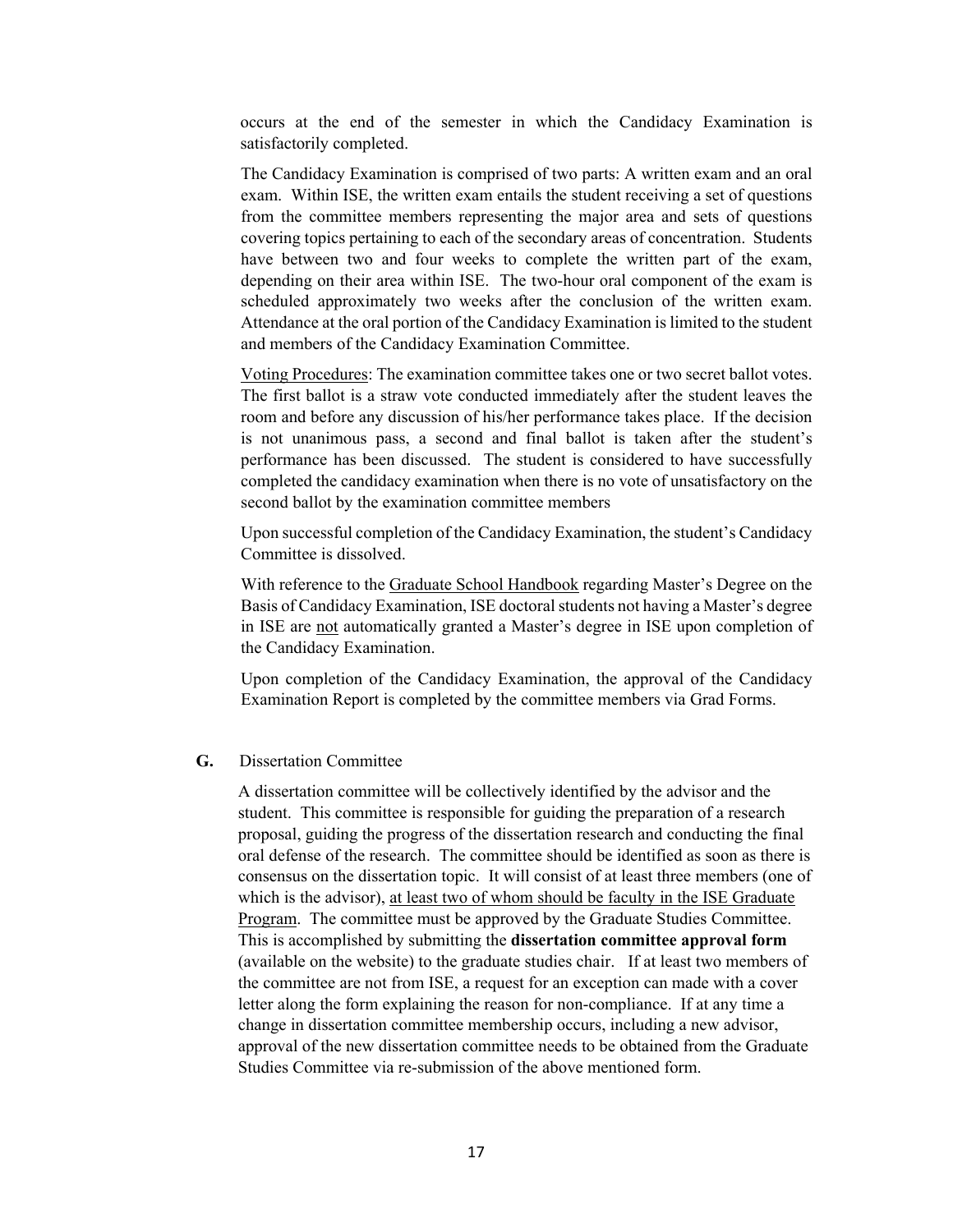occurs at the end of the semester in which the Candidacy Examination is satisfactorily completed.

The Candidacy Examination is comprised of two parts: A written exam and an oral exam. Within ISE, the written exam entails the student receiving a set of questions from the committee members representing the major area and sets of questions covering topics pertaining to each of the secondary areas of concentration. Students have between two and four weeks to complete the written part of the exam, depending on their area within ISE. The two-hour oral component of the exam is scheduled approximately two weeks after the conclusion of the written exam. Attendance at the oral portion of the Candidacy Examination is limited to the student and members of the Candidacy Examination Committee.

Voting Procedures: The examination committee takes one or two secret ballot votes. The first ballot is a straw vote conducted immediately after the student leaves the room and before any discussion of his/her performance takes place. If the decision is not unanimous pass, a second and final ballot is taken after the student's performance has been discussed. The student is considered to have successfully completed the candidacy examination when there is no vote of unsatisfactory on the second ballot by the examination committee members

Upon successful completion of the Candidacy Examination, the student's Candidacy Committee is dissolved.

With reference to the Graduate School Handbook regarding Master's Degree on the Basis of Candidacy Examination, ISE doctoral students not having a Master's degree in ISE are not automatically granted a Master's degree in ISE upon completion of the Candidacy Examination.

Upon completion of the Candidacy Examination, the approval of the Candidacy Examination Report is completed by the committee members via Grad Forms.

#### **G.** Dissertation Committee

A dissertation committee will be collectively identified by the advisor and the student. This committee is responsible for guiding the preparation of a research proposal, guiding the progress of the dissertation research and conducting the final oral defense of the research. The committee should be identified as soon as there is consensus on the dissertation topic. It will consist of at least three members (one of which is the advisor), at least two of whom should be faculty in the ISE Graduate Program. The committee must be approved by the Graduate Studies Committee. This is accomplished by submitting the **dissertation committee approval form** (available on the website) to the graduate studies chair. If at least two members of the committee are not from ISE, a request for an exception can made with a cover letter along the form explaining the reason for non-compliance. If at any time a change in dissertation committee membership occurs, including a new advisor, approval of the new dissertation committee needs to be obtained from the Graduate Studies Committee via re-submission of the above mentioned form.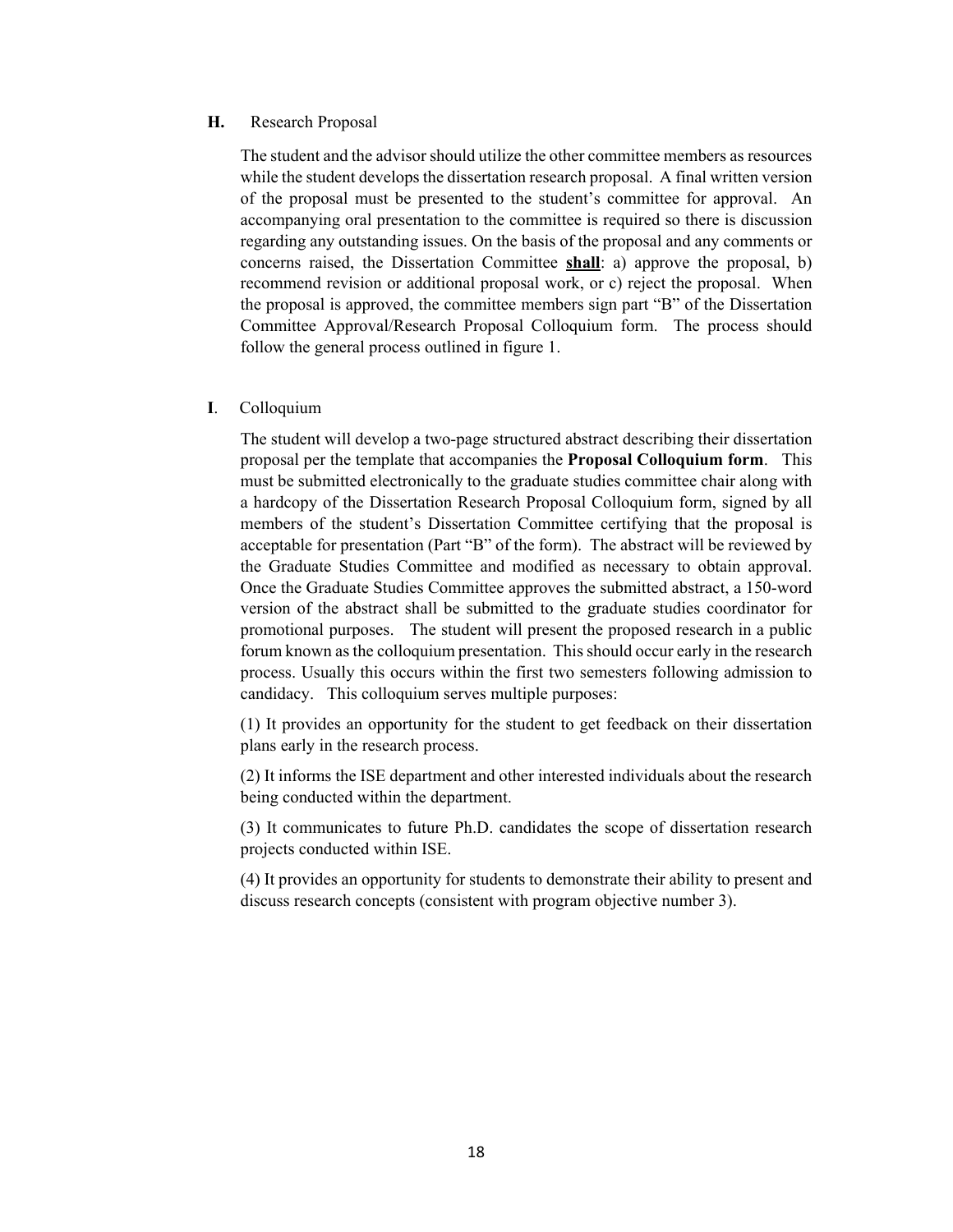#### **H.** Research Proposal

The student and the advisor should utilize the other committee members as resources while the student develops the dissertation research proposal. A final written version of the proposal must be presented to the student's committee for approval. An accompanying oral presentation to the committee is required so there is discussion regarding any outstanding issues. On the basis of the proposal and any comments or concerns raised, the Dissertation Committee **shall**: a) approve the proposal, b) recommend revision or additional proposal work, or c) reject the proposal. When the proposal is approved, the committee members sign part "B" of the Dissertation Committee Approval/Research Proposal Colloquium form. The process should follow the general process outlined in figure 1.

#### **I**. Colloquium

The student will develop a two-page structured abstract describing their dissertation proposal per the template that accompanies the **Proposal Colloquium form**. This must be submitted electronically to the graduate studies committee chair along with a hardcopy of the Dissertation Research Proposal Colloquium form, signed by all members of the student's Dissertation Committee certifying that the proposal is acceptable for presentation (Part "B" of the form). The abstract will be reviewed by the Graduate Studies Committee and modified as necessary to obtain approval. Once the Graduate Studies Committee approves the submitted abstract, a 150-word version of the abstract shall be submitted to the graduate studies coordinator for promotional purposes. The student will present the proposed research in a public forum known as the colloquium presentation. This should occur early in the research process. Usually this occurs within the first two semesters following admission to candidacy. This colloquium serves multiple purposes:

(1) It provides an opportunity for the student to get feedback on their dissertation plans early in the research process.

(2) It informs the ISE department and other interested individuals about the research being conducted within the department.

(3) It communicates to future Ph.D. candidates the scope of dissertation research projects conducted within ISE.

(4) It provides an opportunity for students to demonstrate their ability to present and discuss research concepts (consistent with program objective number 3).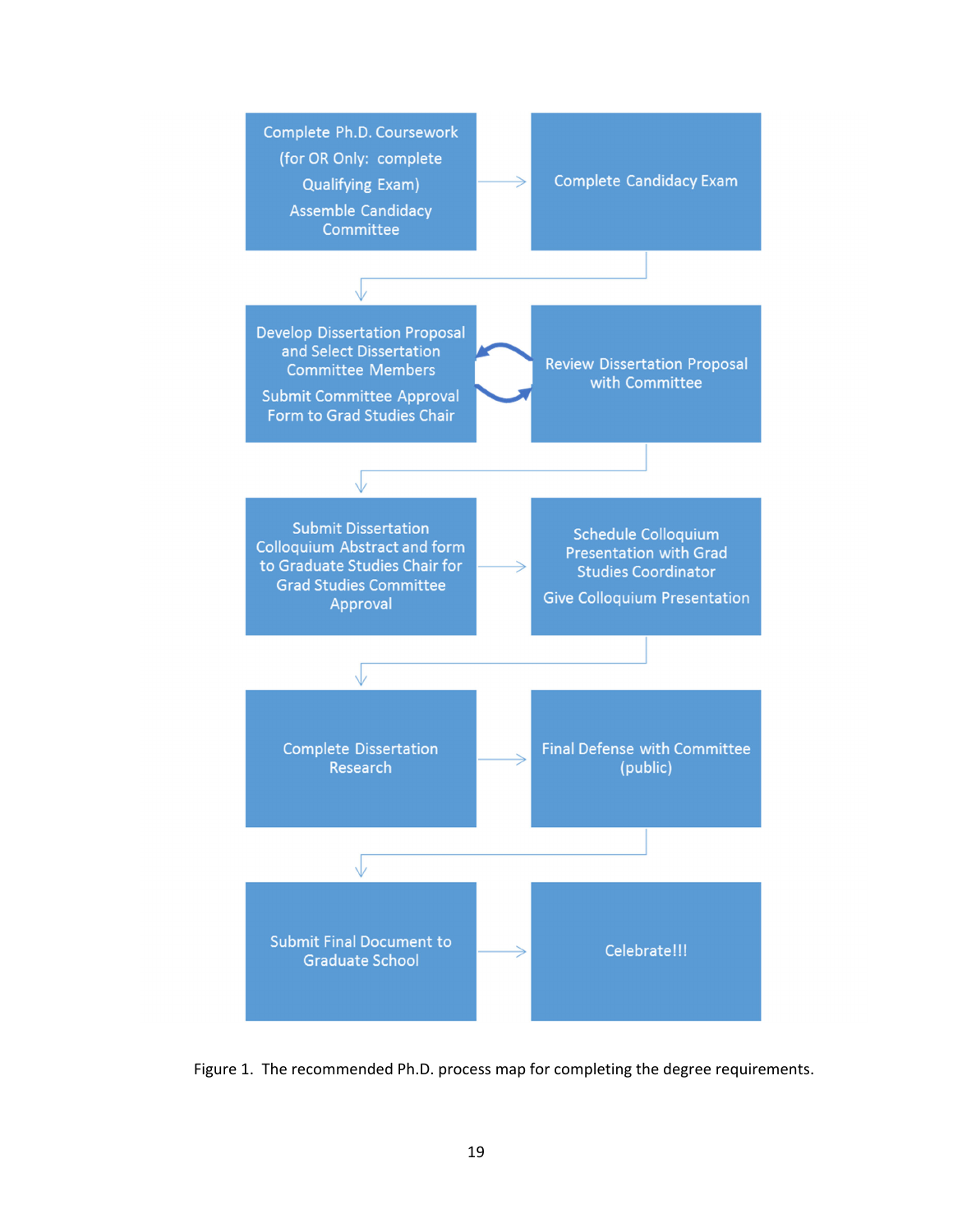

Figure 1. The recommended Ph.D. process map for completing the degree requirements.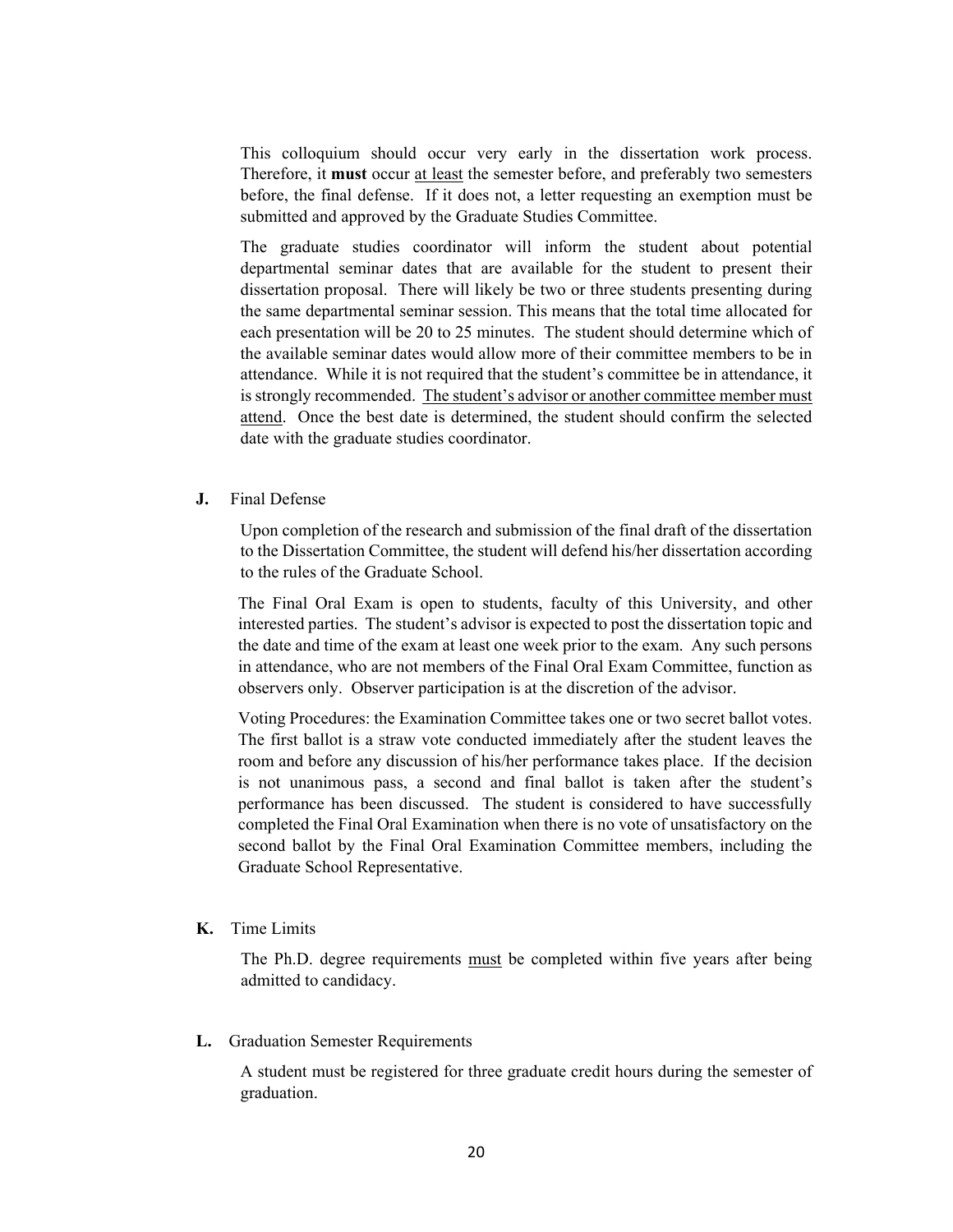This colloquium should occur very early in the dissertation work process. Therefore, it **must** occur at least the semester before, and preferably two semesters before, the final defense. If it does not, a letter requesting an exemption must be submitted and approved by the Graduate Studies Committee.

The graduate studies coordinator will inform the student about potential departmental seminar dates that are available for the student to present their dissertation proposal. There will likely be two or three students presenting during the same departmental seminar session. This means that the total time allocated for each presentation will be 20 to 25 minutes. The student should determine which of the available seminar dates would allow more of their committee members to be in attendance. While it is not required that the student's committee be in attendance, it is strongly recommended. The student's advisor or another committee member must attend. Once the best date is determined, the student should confirm the selected date with the graduate studies coordinator.

**J.** Final Defense

Upon completion of the research and submission of the final draft of the dissertation to the Dissertation Committee, the student will defend his/her dissertation according to the rules of the Graduate School.

The Final Oral Exam is open to students, faculty of this University, and other interested parties. The student's advisor is expected to post the dissertation topic and the date and time of the exam at least one week prior to the exam. Any such persons in attendance, who are not members of the Final Oral Exam Committee, function as observers only. Observer participation is at the discretion of the advisor.

Voting Procedures: the Examination Committee takes one or two secret ballot votes. The first ballot is a straw vote conducted immediately after the student leaves the room and before any discussion of his/her performance takes place. If the decision is not unanimous pass, a second and final ballot is taken after the student's performance has been discussed. The student is considered to have successfully completed the Final Oral Examination when there is no vote of unsatisfactory on the second ballot by the Final Oral Examination Committee members, including the Graduate School Representative.

**K.** Time Limits

The Ph.D. degree requirements must be completed within five years after being admitted to candidacy.

**L.** Graduation Semester Requirements

A student must be registered for three graduate credit hours during the semester of graduation.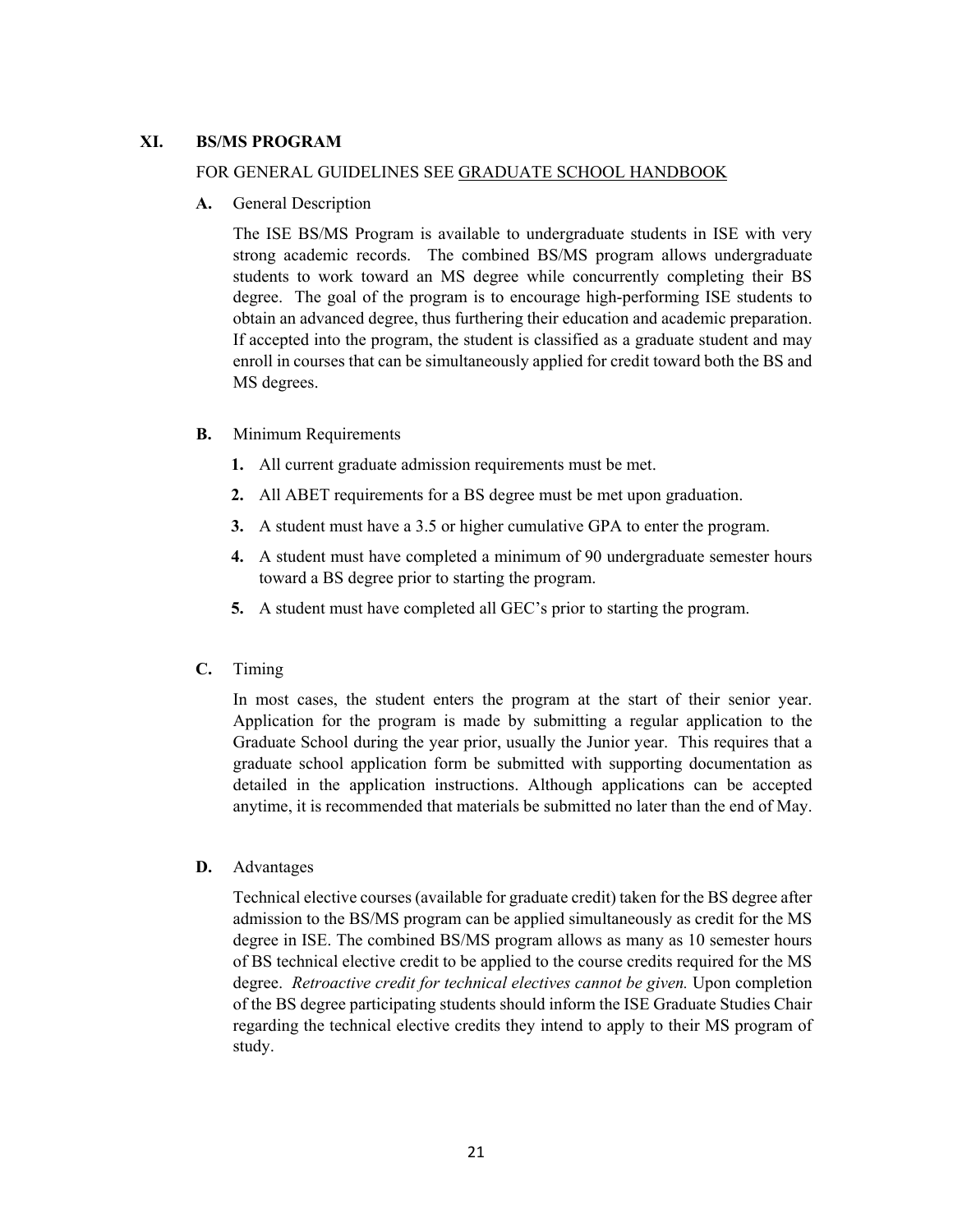#### **XI. BS/MS PROGRAM**

#### FOR GENERAL GUIDELINES SEE GRADUATE SCHOOL HANDBOOK

**A.** General Description

The ISE BS/MS Program is available to undergraduate students in ISE with very strong academic records. The combined BS/MS program allows undergraduate students to work toward an MS degree while concurrently completing their BS degree. The goal of the program is to encourage high-performing ISE students to obtain an advanced degree, thus furthering their education and academic preparation. If accepted into the program, the student is classified as a graduate student and may enroll in courses that can be simultaneously applied for credit toward both the BS and MS degrees.

- **B.** Minimum Requirements
	- **1.** All current graduate admission requirements must be met.
	- **2.** All ABET requirements for a BS degree must be met upon graduation.
	- **3.** A student must have a 3.5 or higher cumulative GPA to enter the program.
	- **4.** A student must have completed a minimum of 90 undergraduate semester hours toward a BS degree prior to starting the program.
	- **5.** A student must have completed all GEC's prior to starting the program.
- **C.** Timing

In most cases, the student enters the program at the start of their senior year. Application for the program is made by submitting a regular application to the Graduate School during the year prior, usually the Junior year. This requires that a graduate school application form be submitted with supporting documentation as detailed in the application instructions. Although applications can be accepted anytime, it is recommended that materials be submitted no later than the end of May.

#### **D.** Advantages

Technical elective courses (available for graduate credit) taken for the BS degree after admission to the BS/MS program can be applied simultaneously as credit for the MS degree in ISE. The combined BS/MS program allows as many as 10 semester hours of BS technical elective credit to be applied to the course credits required for the MS degree. *Retroactive credit for technical electives cannot be given.* Upon completion of the BS degree participating students should inform the ISE Graduate Studies Chair regarding the technical elective credits they intend to apply to their MS program of study.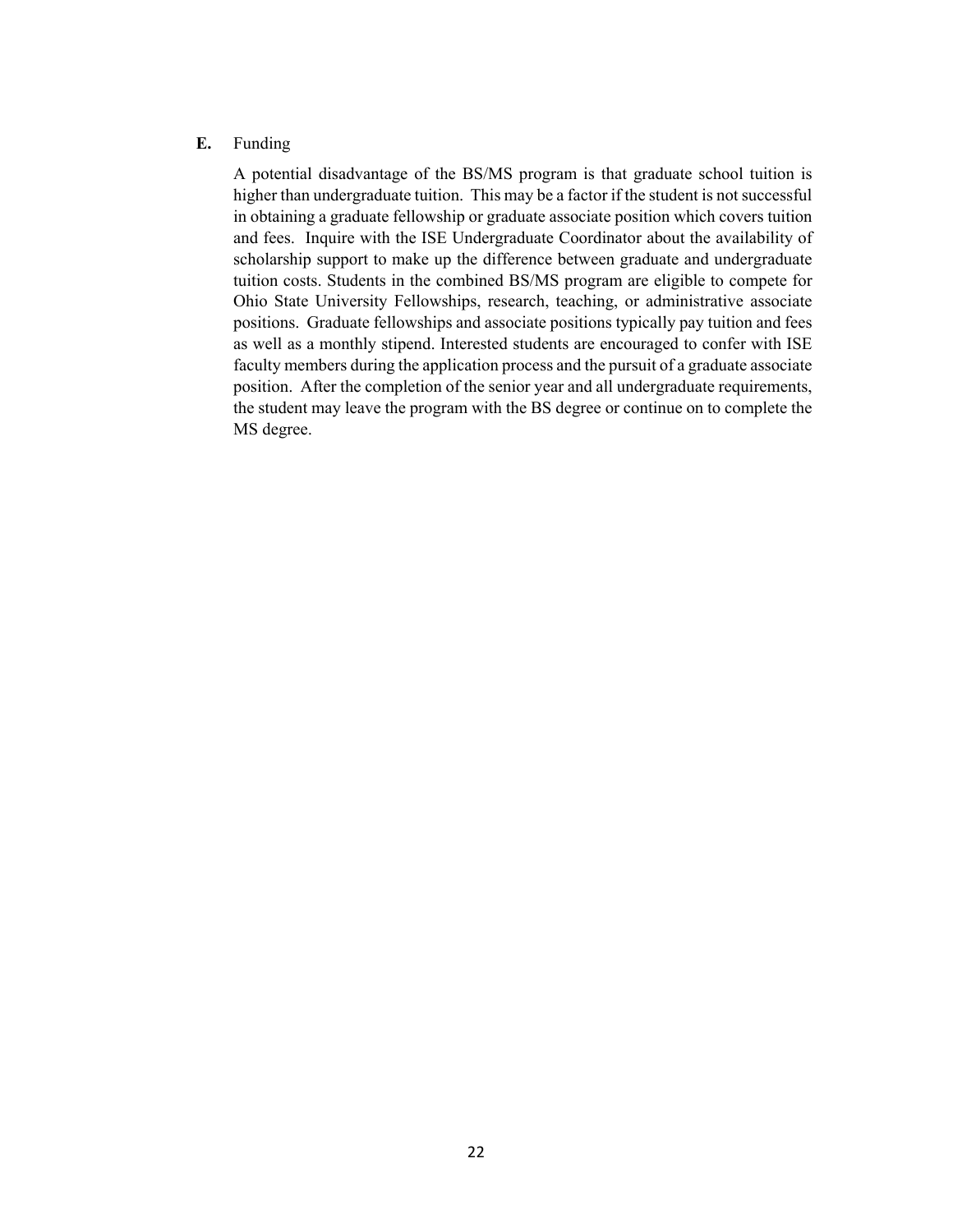#### **E.** Funding

A potential disadvantage of the BS/MS program is that graduate school tuition is higher than undergraduate tuition. This may be a factor if the student is not successful in obtaining a graduate fellowship or graduate associate position which covers tuition and fees. Inquire with the ISE Undergraduate Coordinator about the availability of scholarship support to make up the difference between graduate and undergraduate tuition costs. Students in the combined BS/MS program are eligible to compete for Ohio State University Fellowships, research, teaching, or administrative associate positions. Graduate fellowships and associate positions typically pay tuition and fees as well as a monthly stipend. Interested students are encouraged to confer with ISE faculty members during the application process and the pursuit of a graduate associate position. After the completion of the senior year and all undergraduate requirements, the student may leave the program with the BS degree or continue on to complete the MS degree.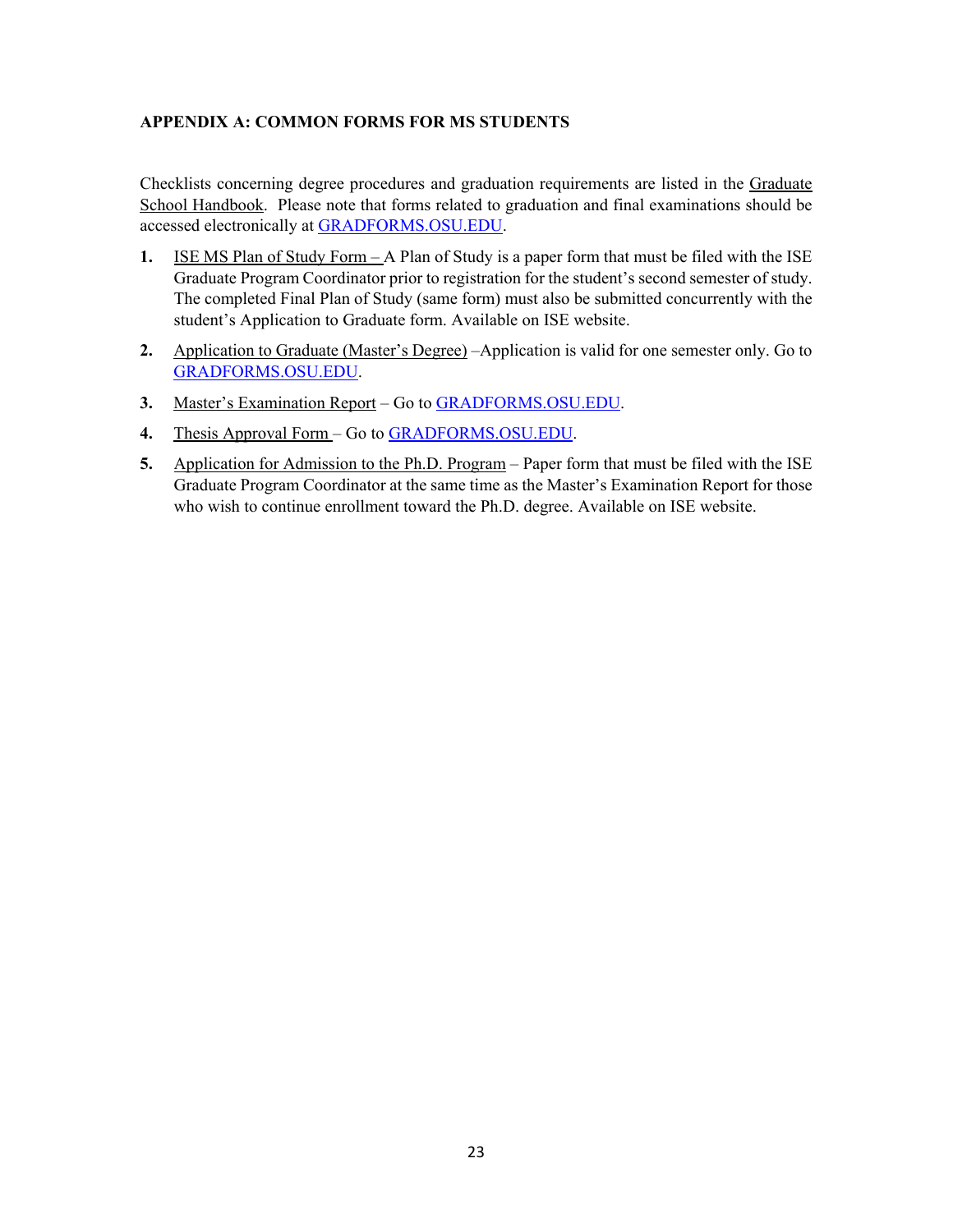#### **APPENDIX A: COMMON FORMS FOR MS STUDENTS**

Checklists concerning degree procedures and graduation requirements are listed in the Graduate School Handbook. Please note that forms related to graduation and final examinations should be accessed electronically at GRADFORMS.OSU.EDU.

- **1.** ISE MS Plan of Study Form A Plan of Study is a paper form that must be filed with the ISE Graduate Program Coordinator prior to registration for the student's second semester of study. The completed Final Plan of Study (same form) must also be submitted concurrently with the student's Application to Graduate form. Available on ISE website.
- **2.** Application to Graduate (Master's Degree) –Application is valid for one semester only. Go to GRADFORMS.OSU.EDU.
- **3.** Master's Examination Report Go to GRADFORMS.OSU.EDU.
- **4.** Thesis Approval Form Go to GRADFORMS.OSU.EDU.
- **5.** Application for Admission to the Ph.D. Program Paper form that must be filed with the ISE Graduate Program Coordinator at the same time as the Master's Examination Report for those who wish to continue enrollment toward the Ph.D. degree. Available on ISE website.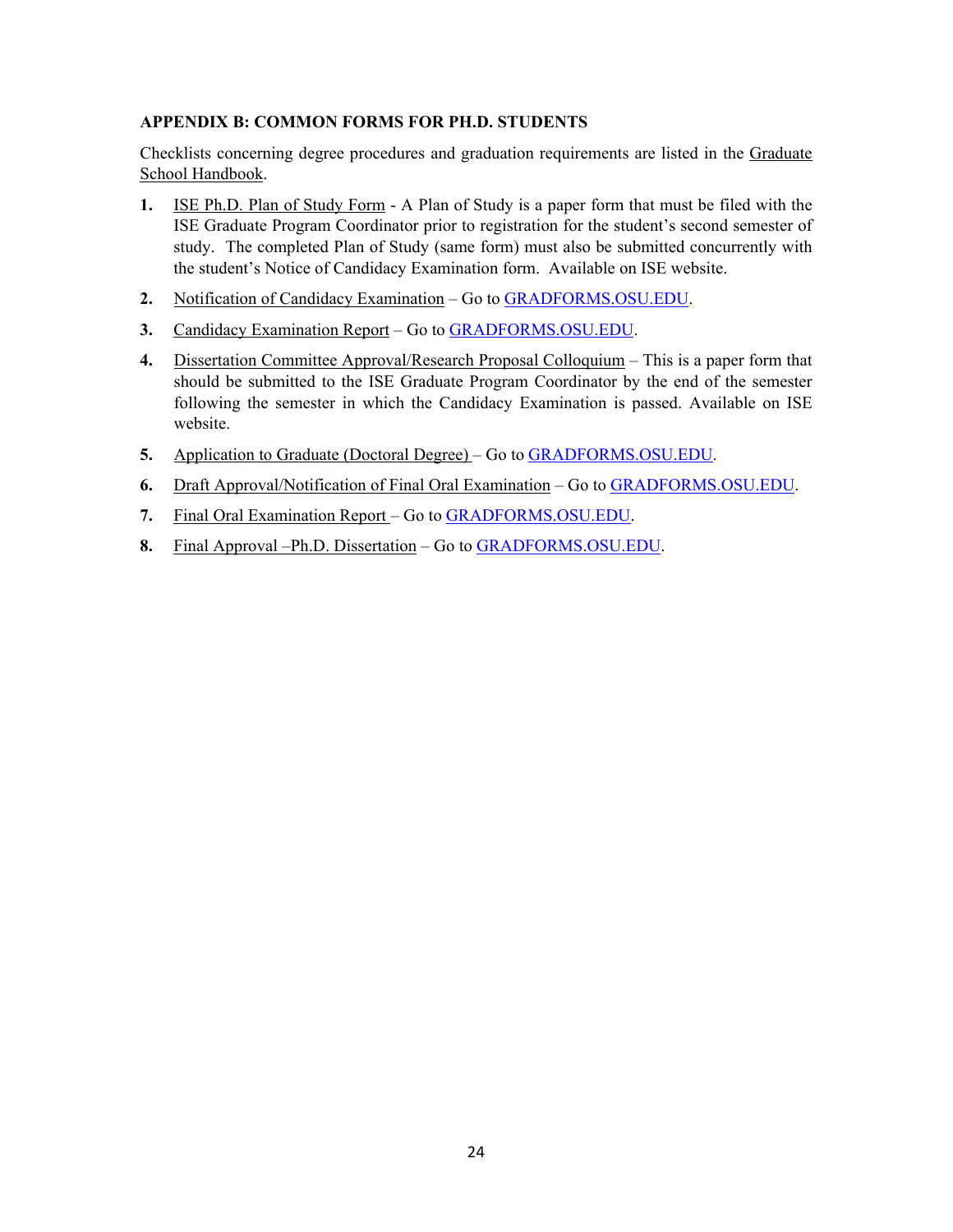#### **APPENDIX B: COMMON FORMS FOR PH.D. STUDENTS**

Checklists concerning degree procedures and graduation requirements are listed in the Graduate School Handbook.

- **1.** ISE Ph.D. Plan of Study Form A Plan of Study is a paper form that must be filed with the ISE Graduate Program Coordinator prior to registration for the student's second semester of study. The completed Plan of Study (same form) must also be submitted concurrently with the student's Notice of Candidacy Examination form. Available on ISE website.
- **2.** Notification of Candidacy Examination Go to GRADFORMS.OSU.EDU.
- **3.** Candidacy Examination Report Go to GRADFORMS.OSU.EDU.
- **4.** Dissertation Committee Approval/Research Proposal Colloquium This is a paper form that should be submitted to the ISE Graduate Program Coordinator by the end of the semester following the semester in which the Candidacy Examination is passed. Available on ISE website.
- **5.** Application to Graduate (Doctoral Degree) Go to GRADFORMS.OSU.EDU.
- **6.** Draft Approval/Notification of Final Oral Examination Go to GRADFORMS.OSU.EDU.
- **7.** Final Oral Examination Report Go to GRADFORMS.OSU.EDU.
- **8.** Final Approval –Ph.D. Dissertation Go to GRADFORMS.OSU.EDU.